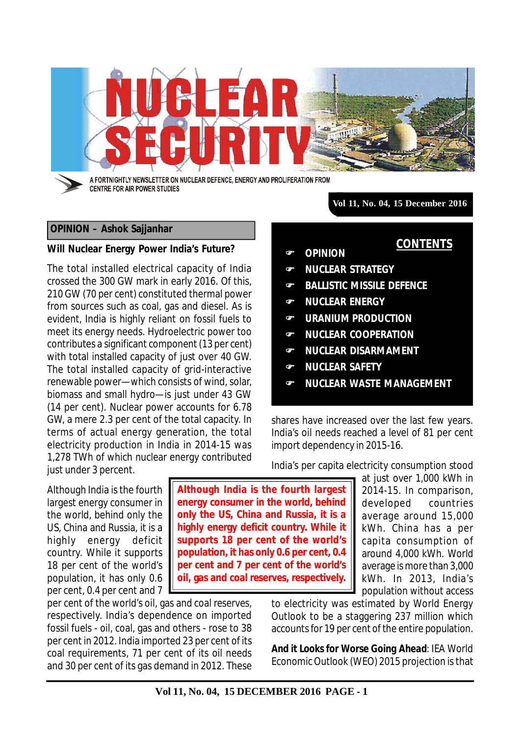

**CENTRE FOR AIR POWER STUDIES** 

**Vol 11, No. 04, 15 December 2016**

**OPINION**

**NUCLEAR ENERGY**

**NUCLEAR SAFETY**

import dependency in 2015-16.

 **NUCLEAR STRATEGY BALLISTIC MISSILE DEFENCE** 

 **URANIUM PRODUCTION NUCLEAR COOPERATION NUCLEAR DISARMAMENT**

**NUCLEAR WASTE MANAGEMENT**

shares have increased over the last few years. India's oil needs reached a level of 81 per cent

India's per capita electricity consumption stood

**CONTENTS**

## **OPINION – Ashok Sajjanhar**

## **Will Nuclear Energy Power India's Future?**

The total installed electrical capacity of India crossed the 300 GW mark in early 2016. Of this, 210 GW (70 per cent) constituted thermal power from sources such as coal, gas and diesel. As is evident, India is highly reliant on fossil fuels to meet its energy needs. Hydroelectric power too contributes a significant component (13 per cent) with total installed capacity of just over 40 GW. The total installed capacity of grid-interactive renewable power—which consists of wind, solar, biomass and small hydro—is just under 43 GW (14 per cent). Nuclear power accounts for 6.78 GW, a mere 2.3 per cent of the total capacity. In terms of actual energy generation, the total electricity production in India in 2014-15 was 1,278 TWh of which nuclear energy contributed just under 3 percent.

Although India is the fourth largest energy consumer in the world, behind only the US, China and Russia, it is a highly energy deficit country. While it supports 18 per cent of the world's population, it has only 0.6 per cent, 0.4 per cent and 7

per cent of the world's oil, gas and coal reserves, respectively. India's dependence on imported fossil fuels - oil, coal, gas and others - rose to 38 per cent in 2012. India imported 23 per cent of its coal requirements, 71 per cent of its oil needs and 30 per cent of its gas demand in 2012. These

**Although India is the fourth largest energy consumer in the world, behind only the US, China and Russia, it is a highly energy deficit country. While it supports 18 per cent of the world's population, it has only 0.6 per cent, 0.4 per cent and 7 per cent of the world's oil, gas and coal reserves, respectively.**

at just over 1,000 kWh in 2014-15. In comparison, developed countries average around 15,000 kWh. China has a per capita consumption of around 4,000 kWh. World average is more than 3,000 kWh. In 2013, India's population without access

to electricity was estimated by World Energy Outlook to be a staggering 237 million which accounts for 19 per cent of the entire population.

*And it Looks for Worse Going Ahead*: IEA World Economic Outlook (WEO) 2015 projection is that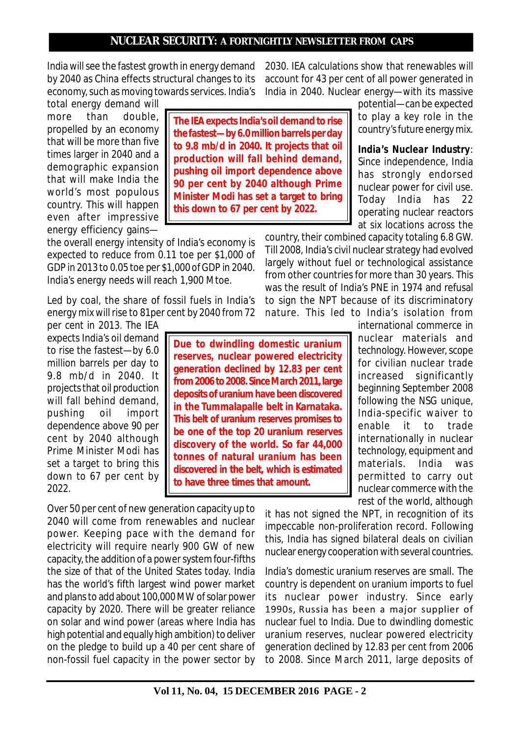India will see the fastest growth in energy demand by 2040 as China effects structural changes to its economy, such as moving towards services. India's

total energy demand will more than double, propelled by an economy that will be more than five times larger in 2040 and a demographic expansion that will make India the world's most populous country. This will happen even after impressive energy efficiency gains—

the overall energy intensity of India's economy is expected to reduce from 0.11 toe per \$1,000 of GDP in 2013 to 0.05 toe per \$1,000 of GDP in 2040. India's energy needs will reach 1,900 Mtoe.

Led by coal, the share of fossil fuels in India's energy mix will rise to 81per cent by 2040 from 72

per cent in 2013. The IEA expects India's oil demand to rise the fastest—by 6.0 million barrels per day to 9.8 mb/d in 2040. It projects that oil production will fall behind demand, pushing oil import dependence above 90 per cent by 2040 although Prime Minister Modi has set a target to bring this down to 67 per cent by 2022.

Over 50 per cent of new generation capacity up to 2040 will come from renewables and nuclear power. Keeping pace with the demand for electricity will require nearly 900 GW of new capacity, the addition of a power system four-fifths the size of that of the United States today. India has the world's fifth largest wind power market and plans to add about 100,000 MW of solar power capacity by 2020. There will be greater reliance on solar and wind power (areas where India has high potential and equally high ambition) to deliver on the pledge to build up a 40 per cent share of non-fossil fuel capacity in the power sector by

**The IEA expects India's oil demand to rise the fastest—by 6.0 million barrels per day to 9.8 mb/d in 2040. It projects that oil production will fall behind demand, pushing oil import dependence above 90 per cent by 2040 although Prime Minister Modi has set a target to bring this down to 67 per cent by 2022.**

**Due to dwindling domestic uranium reserves, nuclear powered electricity generation declined by 12.83 per cent from 2006 to 2008. Since March 2011, large deposits of uranium have been discovered in the Tummalapalle belt in Karnataka. This belt of uranium reserves promises to be one of the top 20 uranium reserves discovery of the world. So far 44,000 tonnes of natural uranium has been discovered in the belt, which is estimated**

**to have three times that amount.**

2030. IEA calculations show that renewables will account for 43 per cent of all power generated in India in 2040. Nuclear energy—with its massive

> potential—can be expected to play a key role in the country's future energy mix.

> *India's Nuclear Industry*: Since independence, India has strongly endorsed nuclear power for civil use. Today India has 22 operating nuclear reactors at six locations across the

country, their combined capacity totaling 6.8 GW. Till 2008, India's civil nuclear strategy had evolved largely without fuel or technological assistance from other countries for more than 30 years. This was the result of India's PNE in 1974 and refusal to sign the NPT because of its discriminatory nature. This led to India's isolation from

> international commerce in nuclear materials and technology. However, scope for civilian nuclear trade increased significantly beginning September 2008 following the NSG unique, India-specific waiver to enable it to trade internationally in nuclear technology, equipment and materials. India was permitted to carry out nuclear commerce with the rest of the world, although

it has not signed the NPT, in recognition of its impeccable non-proliferation record. Following this, India has signed bilateral deals on civilian nuclear energy cooperation with several countries.

India's domestic uranium reserves are small. The country is dependent on uranium imports to fuel its nuclear power industry. Since early 1990s, Russia has been a major supplier of nuclear fuel to India. Due to dwindling domestic uranium reserves, nuclear powered electricity generation declined by 12.83 per cent from 2006 to 2008. Since March 2011, large deposits of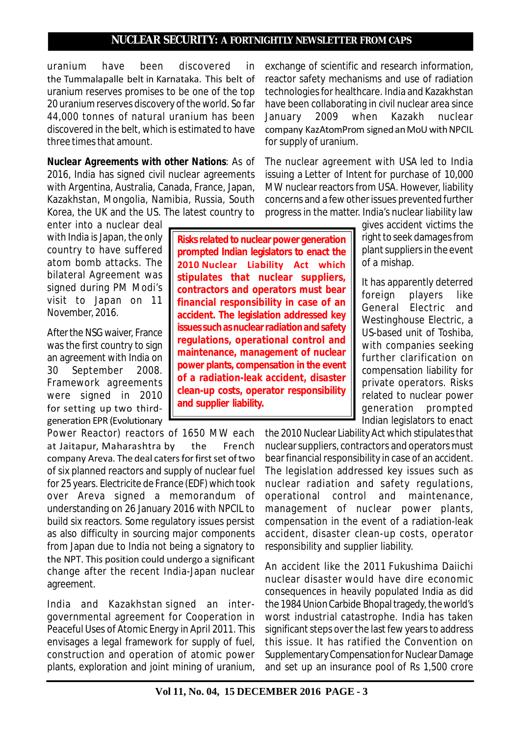uranium have been discovered in the Tummalapalle belt in Karnataka. This belt of uranium reserves promises to be one of the top 20 uranium reserves discovery of the world. So far 44,000 tonnes of natural uranium has been discovered in the belt, which is estimated to have three times that amount.

*Nuclear Agreements with other Nations*: As of 2016, India has signed civil nuclear agreements with Argentina, Australia, Canada, France, Japan, Kazakhstan, Mongolia, Namibia, Russia, South Korea, the UK and the US. The latest country to

enter into a nuclear deal with India is Japan, the only country to have suffered atom bomb attacks. The bilateral Agreement was signed during PM Modi's visit to Japan on 11 November, 2016.

After the NSG waiver, France was the first country to sign an agreement with India on 30 September 2008. Framework agreements were signed in 2010 for setting up two thirdgeneration EPR (Evolutionary

Power Reactor) reactors of 1650 MW each at Jaitapur, Maharashtra by the French company Areva. The deal caters for first set of two of six planned reactors and supply of nuclear fuel for 25 years. Electricite de France (EDF) which took over Areva signed a memorandum of understanding on 26 January 2016 with NPCIL to build six reactors. Some regulatory issues persist as also difficulty in sourcing major components from Japan due to India not being a signatory to the NPT. This position could undergo a significant change after the recent India-Japan nuclear agreement.

India and Kazakhstan signed an intergovernmental agreement for Cooperation in Peaceful Uses of Atomic Energy in April 2011. This envisages a legal framework for supply of fuel, construction and operation of atomic power plants, exploration and joint mining of uranium,

exchange of scientific and research information, reactor safety mechanisms and use of radiation technologies for healthcare. India and Kazakhstan have been collaborating in civil nuclear area since January 2009 when Kazakh nuclear company KazAtomProm signed an MoU with NPCIL for supply of uranium.

The nuclear agreement with USA led to India issuing a Letter of Intent for purchase of 10,000 MW nuclear reactors from USA. However, liability concerns and a few other issues prevented further progress in the matter. India's nuclear liability law

**Risks related to nuclear power generation prompted Indian legislators to enact the 2010 Nuclear Liability Act which stipulates that nuclear suppliers, contractors and operators must bear financial responsibility in case of an accident. The legislation addressed key issues such as nuclear radiation and safety regulations, operational control and maintenance, management of nuclear power plants, compensation in the event of a radiation-leak accident, disaster clean-up costs, operator responsibility and supplier liability.**

gives accident victims the right to seek damages from plant suppliers in the event of a mishap.

It has apparently deterred foreign players like General Electric and Westinghouse Electric, a US-based unit of Toshiba, with companies seeking further clarification on compensation liability for private operators. Risks related to nuclear power generation prompted Indian legislators to enact

the 2010 Nuclear Liability Act which stipulates that nuclear suppliers, contractors and operators must bear financial responsibility in case of an accident. The legislation addressed key issues such as nuclear radiation and safety regulations, operational control and maintenance, management of nuclear power plants, compensation in the event of a radiation-leak accident, disaster clean-up costs, operator responsibility and supplier liability.

An accident like the 2011 Fukushima Daiichi nuclear disaster would have dire economic consequences in heavily populated India as did the 1984 Union Carbide Bhopal tragedy, the world's worst industrial catastrophe. India has taken significant steps over the last few years to address this issue. It has ratified the Convention on Supplementary Compensation for Nuclear Damage and set up an insurance pool of Rs 1,500 crore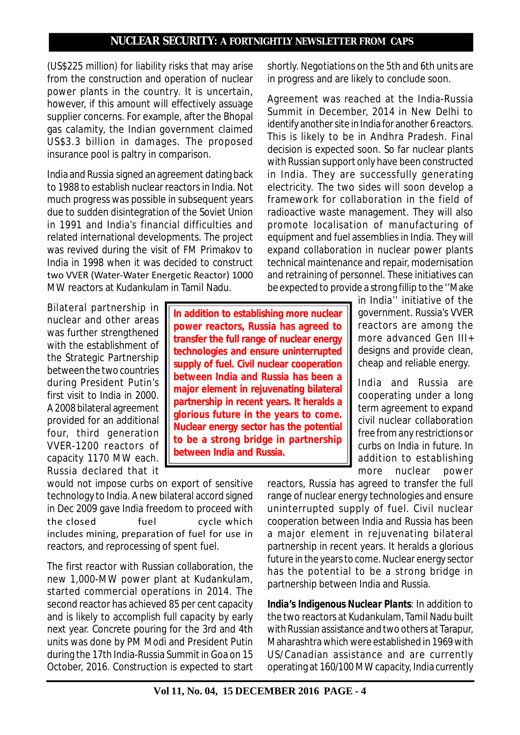(US\$225 million) for liability risks that may arise from the construction and operation of nuclear power plants in the country. It is uncertain, however, if this amount will effectively assuage supplier concerns. For example, after the Bhopal gas calamity, the Indian government claimed US\$3.3 billion in damages. The proposed insurance pool is paltry in comparison.

India and Russia signed an agreement dating back to 1988 to establish nuclear reactors in India. Not much progress was possible in subsequent years due to sudden disintegration of the Soviet Union in 1991 and India's financial difficulties and related international developments. The project was revived during the visit of FM Primakov to India in 1998 when it was decided to construct two VVER (Water-Water Energetic Reactor) 1000 MW reactors at Kudankulam in Tamil Nadu.

Bilateral partnership in nuclear and other areas was further strengthened with the establishment of the Strategic Partnership between the two countries during President Putin's first visit to India in 2000. A 2008 bilateral agreement provided for an additional four, third generation VVER-1200 reactors of capacity 1170 MW each. Russia declared that it

**In addition to establishing more nuclear power reactors, Russia has agreed to transfer the full range of nuclear energy technologies and ensure uninterrupted supply of fuel. Civil nuclear cooperation between India and Russia has been a major element in rejuvenating bilateral partnership in recent years. It heralds a glorious future in the years to come. Nuclear energy sector has the potential to be a strong bridge in partnership between India and Russia.**

shortly. Negotiations on the 5th and 6th units are in progress and are likely to conclude soon.

Agreement was reached at the India-Russia Summit in December, 2014 in New Delhi to identify another site in India for another 6 reactors. This is likely to be in Andhra Pradesh. Final decision is expected soon. So far nuclear plants with Russian support only have been constructed in India. They are successfully generating electricity. The two sides will soon develop a framework for collaboration in the field of radioactive waste management. They will also promote localisation of manufacturing of equipment and fuel assemblies in India. They will expand collaboration in nuclear power plants technical maintenance and repair, modernisation and retraining of personnel. These initiatives can be expected to provide a strong fillip to the ''Make

in India'' initiative of the government. Russia's VVER reactors are among the more advanced Gen III+ designs and provide clean, cheap and reliable energy.

India and Russia are cooperating under a long term agreement to expand civil nuclear collaboration free from any restrictions or curbs on India in future. In addition to establishing more nuclear power

would not impose curbs on export of sensitive technology to India. A new bilateral accord signed in Dec 2009 gave India freedom to proceed with the closed fuel cycle which includes mining, preparation of fuel for use in reactors, and reprocessing of spent fuel.

The first reactor with Russian collaboration, the new 1,000-MW power plant at Kudankulam, started commercial operations in 2014. The second reactor has achieved 85 per cent capacity and is likely to accomplish full capacity by early next year. Concrete pouring for the 3rd and 4th units was done by PM Modi and President Putin during the 17th India-Russia Summit in Goa on 15 October, 2016. Construction is expected to start reactors, Russia has agreed to transfer the full range of nuclear energy technologies and ensure uninterrupted supply of fuel. Civil nuclear cooperation between India and Russia has been a major element in rejuvenating bilateral partnership in recent years. It heralds a glorious future in the years to come. Nuclear energy sector has the potential to be a strong bridge in partnership between India and Russia.

*India's Indigenous Nuclear Plants*: In addition to the two reactors at Kudankulam, Tamil Nadu built with Russian assistance and two others at Tarapur, Maharashtra which were established in 1969 with US/Canadian assistance and are currently operating at 160/100 MW capacity, India currently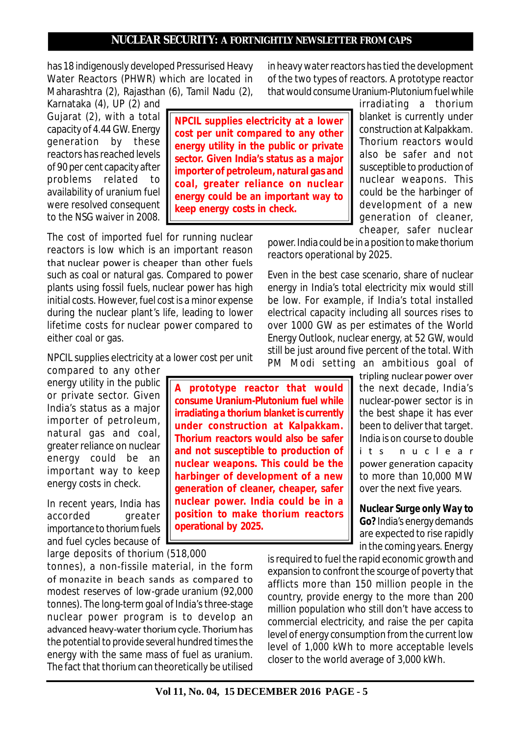has 18 indigenously developed Pressurised Heavy Water Reactors (PHWR) which are located in Maharashtra (2), Rajasthan (6), Tamil Nadu (2),

Karnataka (4), UP (2) and Gujarat (2), with a total capacity of 4.44 GW. Energy generation by these reactors has reached levels of 90 per cent capacity after problems related to availability of uranium fuel were resolved consequent to the NSG waiver in 2008.

**NPCIL supplies electricity at a lower cost per unit compared to any other energy utility in the public or private sector. Given India's status as a major importer of petroleum, natural gas and coal, greater reliance on nuclear energy could be an important way to keep energy costs in check.**

**A prototype reactor that would consume Uranium-Plutonium fuel while irradiating a thorium blanket is currently under construction at Kalpakkam. Thorium reactors would also be safer and not susceptible to production of nuclear weapons. This could be the harbinger of development of a new generation of cleaner, cheaper, safer nuclear power. India could be in a position to make thorium reactors**

The cost of imported fuel for running nuclear reactors is low which is an important reason that nuclear power is cheaper than other fuels such as coal or natural gas. Compared to power plants using fossil fuels, nuclear power has high initial costs. However, fuel cost is a minor expense during the nuclear plant's life, leading to lower lifetime costs for nuclear power compared to either coal or gas.

NPCIL supplies electricity at a lower cost per unit

compared to any other energy utility in the public or private sector. Given India's status as a major importer of petroleum, natural gas and coal, greater reliance on nuclear energy could be an important way to keep energy costs in check.

In recent years, India has accorded greater importance to thorium fuels and fuel cycles because of

large deposits of thorium (518,000 tonnes), a non-fissile material, in the form of monazite in beach sands as compared to modest reserves of low-grade uranium (92,000 tonnes). The long-term goal of India's three-stage nuclear power program is to develop an advanced heavy-water thorium cycle. Thorium has the potential to provide several hundred times the energy with the same mass of fuel as uranium. The fact that thorium can theoretically be utilised in heavy water reactors has tied the development of the two types of reactors. A prototype reactor that would consume Uranium-Plutonium fuel while

> irradiating a thorium blanket is currently under construction at Kalpakkam. Thorium reactors would also be safer and not susceptible to production of nuclear weapons. This could be the harbinger of development of a new generation of cleaner, cheaper, safer nuclear

power. India could be in a position to make thorium reactors operational by 2025.

Even in the best case scenario, share of nuclear energy in India's total electricity mix would still be low. For example, if India's total installed electrical capacity including all sources rises to over 1000 GW as per estimates of the World Energy Outlook, nuclear energy, at 52 GW, would still be just around five percent of the total. With PM Modi setting an ambitious goal of

> tripling nuclear power over the next decade, India's nuclear-power sector is in the best shape it has ever been to deliver that target. India is on course to double i t s n u c l e a r power generation capacity to more than 10,000 MW over the next five years.

> *Nuclear Surge only Way to Go?* India's energy demands are expected to rise rapidly in the coming years. Energy

is required to fuel the rapid economic growth and expansion to confront the scourge of poverty that afflicts more than 150 million people in the country, provide energy to the more than 200 million population who still don't have access to commercial electricity, and raise the per capita level of energy consumption from the current low level of 1,000 kWh to more acceptable levels closer to the world average of 3,000 kWh.

**operational by 2025.**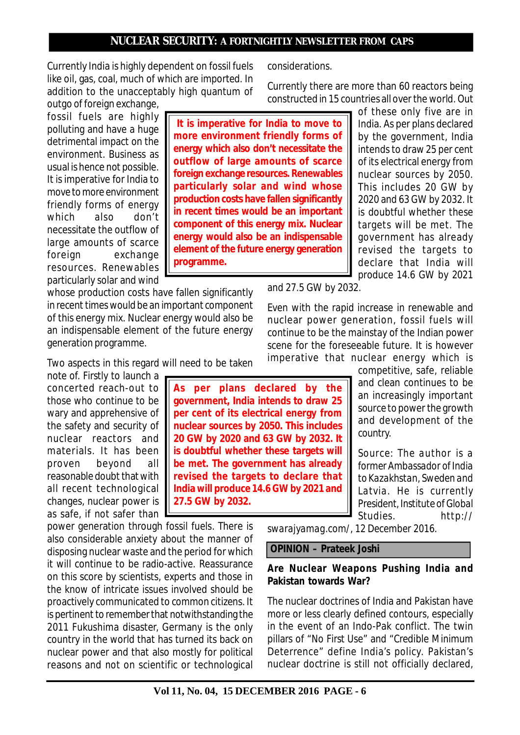Currently India is highly dependent on fossil fuels like oil, gas, coal, much of which are imported. In addition to the unacceptably high quantum of

outgo of foreign exchange, fossil fuels are highly polluting and have a huge detrimental impact on the environment. Business as usual is hence not possible. It is imperative for India to move to more environment friendly forms of energy which also don't necessitate the outflow of large amounts of scarce foreign exchange resources. Renewables particularly solar and wind

whose production costs have fallen significantly in recent times would be an important component of this energy mix. Nuclear energy would also be an indispensable element of the future energy generation programme.

Two aspects in this regard will need to be taken

note of. Firstly to launch a concerted reach-out to those who continue to be wary and apprehensive of the safety and security of nuclear reactors and materials. It has been proven beyond all reasonable doubt that with all recent technological changes, nuclear power is as safe, if not safer than

power generation through fossil fuels. There is also considerable anxiety about the manner of disposing nuclear waste and the period for which it will continue to be radio-active. Reassurance on this score by scientists, experts and those in the know of intricate issues involved should be proactively communicated to common citizens. It is pertinent to remember that notwithstanding the 2011 Fukushima disaster, Germany is the only country in the world that has turned its back on nuclear power and that also mostly for political reasons and not on scientific or technological considerations.

Currently there are more than 60 reactors being constructed in 15 countries all over the world. Out

**It is imperative for India to move to more environment friendly forms of energy which also don't necessitate the outflow of large amounts of scarce foreign exchange resources. Renewables particularly solar and wind whose production costs have fallen significantly in recent times would be an important component of this energy mix. Nuclear energy would also be an indispensable element of the future energy generation programme.**

**As per plans declared by the government, India intends to draw 25 per cent of its electrical energy from nuclear sources by 2050. This includes 20 GW by 2020 and 63 GW by 2032. It is doubtful whether these targets will be met. The government has already revised the targets to declare that India will produce 14.6 GW by 2021 and**

**27.5 GW by 2032.**

of these only five are in India. As per plans declared by the government, India intends to draw 25 per cent of its electrical energy from nuclear sources by 2050. This includes 20 GW by 2020 and 63 GW by 2032. It is doubtful whether these targets will be met. The government has already revised the targets to declare that India will produce 14.6 GW by 2021

and 27.5 GW by 2032.

Even with the rapid increase in renewable and nuclear power generation, fossil fuels will continue to be the mainstay of the Indian power scene for the foreseeable future. It is however imperative that nuclear energy which is

> competitive, safe, reliable and clean continues to be an increasingly important source to power the growth and development of the country.

> *Source: The author is a former Ambassador of India to Kazakhstan, Sweden and Latvia. He is currently President, Institute of Global Studies. http://*

*swarajyamag.com/, 12 December 2016.*

 **OPINION – Prateek Joshi**

### **Are Nuclear Weapons Pushing India and Pakistan towards War?**

The nuclear doctrines of India and Pakistan have more or less clearly defined contours, especially in the event of an Indo-Pak conflict. The twin pillars of "No First Use" and "Credible Minimum Deterrence" define India's policy. Pakistan's nuclear doctrine is still not officially declared,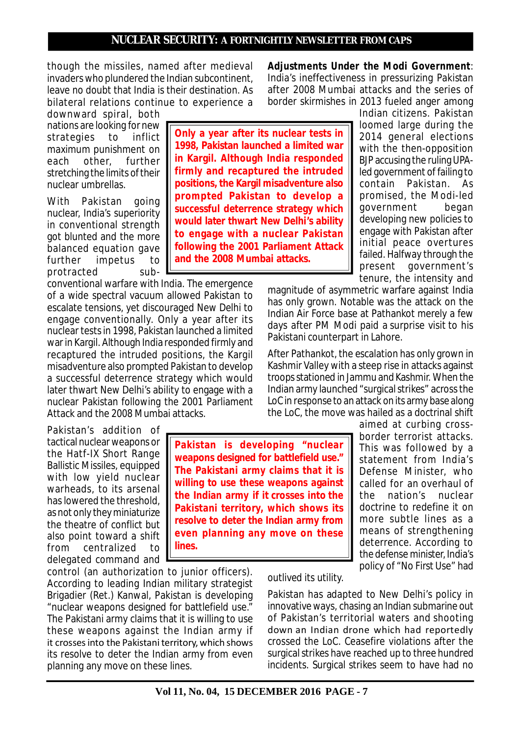though the missiles, named after medieval invaders who plundered the Indian subcontinent, leave no doubt that India is their destination. As bilateral relations continue to experience a

downward spiral, both nations are looking for new strategies to inflict maximum punishment on each other, further stretching the limits of their nuclear umbrellas.

With Pakistan going nuclear, India's superiority in conventional strength got blunted and the more balanced equation gave further impetus to protracted sub-

conventional warfare with India. The emergence of a wide spectral vacuum allowed Pakistan to escalate tensions, yet discouraged New Delhi to engage conventionally. Only a year after its nuclear tests in 1998, Pakistan launched a limited war in Kargil. Although India responded firmly and recaptured the intruded positions, the Kargil misadventure also prompted Pakistan to develop a successful deterrence strategy which would later thwart New Delhi's ability to engage with a nuclear Pakistan following the 2001 Parliament Attack and the 2008 Mumbai attacks.

Pakistan's addition of tactical nuclear weapons or the Hatf-IX Short Range Ballistic Missiles, equipped with low yield nuclear warheads, to its arsenal has lowered the threshold, as not only they miniaturize the theatre of conflict but also point toward a shift from centralized to delegated command and

control (an authorization to junior officers). According to leading Indian military strategist Brigadier (Ret.) Kanwal, Pakistan is developing "nuclear weapons designed for battlefield use." The Pakistani army claims that it is willing to use these weapons against the Indian army if it crosses into the Pakistani territory, which shows its resolve to deter the Indian army from even planning any move on these lines.

**Only a year after its nuclear tests in 1998, Pakistan launched a limited war in Kargil. Although India responded firmly and recaptured the intruded positions, the Kargil misadventure also prompted Pakistan to develop a successful deterrence strategy which would later thwart New Delhi's ability to engage with a nuclear Pakistan following the 2001 Parliament Attack and the 2008 Mumbai attacks.**

*Adjustments Under the Modi Government*: India's ineffectiveness in pressurizing Pakistan after 2008 Mumbai attacks and the series of border skirmishes in 2013 fueled anger among

> Indian citizens. Pakistan loomed large during the 2014 general elections with the then-opposition BJP accusing the ruling UPAled government of failing to contain Pakistan. As promised, the Modi-led government began developing new policies to engage with Pakistan after initial peace overtures failed. Halfway through the present government's tenure, the intensity and

magnitude of asymmetric warfare against India has only grown. Notable was the attack on the Indian Air Force base at Pathankot merely a few days after PM Modi paid a surprise visit to his Pakistani counterpart in Lahore.

After Pathankot, the escalation has only grown in Kashmir Valley with a steep rise in attacks against troops stationed in Jammu and Kashmir. When the Indian army launched "surgical strikes" across the LoC in response to an attack on its army base along the LoC, the move was hailed as a doctrinal shift

> aimed at curbing crossborder terrorist attacks. This was followed by a statement from India's Defense Minister, who called for an overhaul of the nation's nuclear doctrine to redefine it on more subtle lines as a means of strengthening deterrence. According to the defense minister, India's policy of "No First Use" had

**Pakistan is developing "nuclear weapons designed for battlefield use." The Pakistani army claims that it is willing to use these weapons against the Indian army if it crosses into the Pakistani territory, which shows its resolve to deter the Indian army from even planning any move on these lines.**

outlived its utility.

Pakistan has adapted to New Delhi's policy in innovative ways, chasing an Indian submarine out of Pakistan's territorial waters and shooting down an Indian drone which had reportedly crossed the LoC. Ceasefire violations after the surgical strikes have reached up to three hundred incidents. Surgical strikes seem to have had no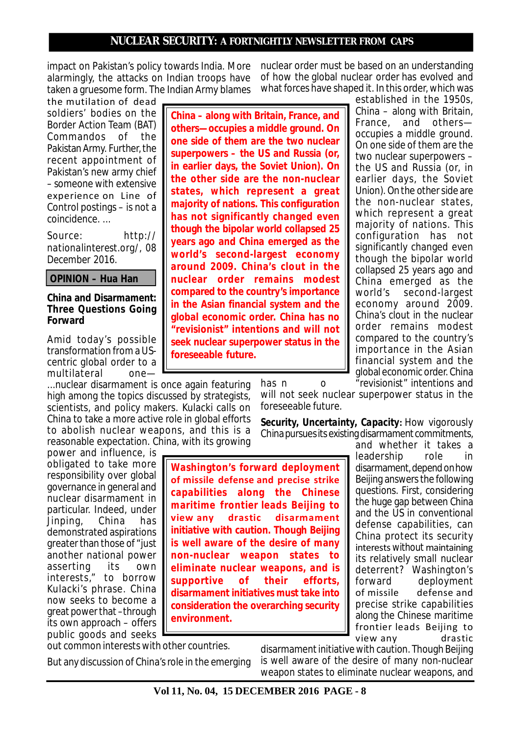impact on Pakistan's policy towards India. More alarmingly, the attacks on Indian troops have taken a gruesome form. The Indian Army blames

the mutilation of dead soldiers' bodies on the Border Action Team (BAT) Commandos of the Pakistan Army. Further, the recent appointment of Pakistan's new army chief – someone with extensive experience on Line of Control postings – is not a coincidence. ...

*Source: http:// nationalinterest.org/, 08 December 2016.*

 **OPINION – Hua Han**

#### **China and Disarmament: Three Questions Going Forward**

Amid today's possible transformation from a UScentric global order to a multilateral one—

...nuclear disarmament is once again featuring high among the topics discussed by strategists, scientists, and policy makers. Kulacki calls on China to take a more active role in global efforts to abolish nuclear weapons, and this is a reasonable expectation. China, with its growing

power and influence, is obligated to take more responsibility over global governance in general and nuclear disarmament in particular. Indeed, under Jinping, China has demonstrated aspirations greater than those of "just another national power asserting its own interests," to borrow Kulacki's phrase. China now seeks to become a great power that –through its own approach – offers public goods and seeks

**China – along with Britain, France, and others—occupies a middle ground. On one side of them are the two nuclear superpowers – the US and Russia (or, in earlier days, the Soviet Union). On the other side are the non-nuclear states, which represent a great majority of nations. This configuration has not significantly changed even though the bipolar world collapsed 25 years ago and China emerged as the world's second-largest economy around 2009. China's clout in the nuclear order remains modest compared to the country's importance in the Asian financial system and the global economic order. China has no "revisionist" intentions and will not seek nuclear superpower status in the foreseeable future.**

nuclear order must be based on an understanding of how the global nuclear order has evolved and what forces have shaped it. In this order, which was

established in the 1950s, China – along with Britain, France, and others occupies a middle ground. On one side of them are the two nuclear superpowers – the US and Russia (or, in earlier days, the Soviet Union). On the other side are the non-nuclear states, which represent a great majority of nations. This configuration has not significantly changed even though the bipolar world collapsed 25 years ago and China emerged as the world's second-largest economy around 2009. China's clout in the nuclear order remains modest compared to the country's importance in the Asian financial system and the global economic order. China has n o final previsionist" intentions and

will not seek nuclear superpower status in the foreseeable future.

*Security, Uncertainty, Capacity***:** How vigorously China pursues its existing disarmament commitments,

**Washington's forward deployment of missile defense and precise strike capabilities along the Chinese maritime frontier leads Beijing to view any drastic disarmament initiative with caution. Though Beijing is well aware of the desire of many non-nuclear weapon states to eliminate nuclear weapons, and is supportive of their efforts, disarmament initiatives must take into consideration the overarching security environment.**

and whether it takes a leadership role in disarmament, depend on how Beijing answers the following questions. First, considering the huge gap between China and the US in conventional defense capabilities, can China protect its security interests *without* maintaining its relatively small nuclear deterrent? Washington's<br>forward deployment deployment of missile defense and precise strike capabilities along the Chinese maritime frontier leads Beijing to view any drastic

out common interests with other countries.

But any discussion of China's role in the emerging

disarmament initiative with caution. Though Beijing is well aware of the desire of many non-nuclear weapon states to eliminate nuclear weapons, and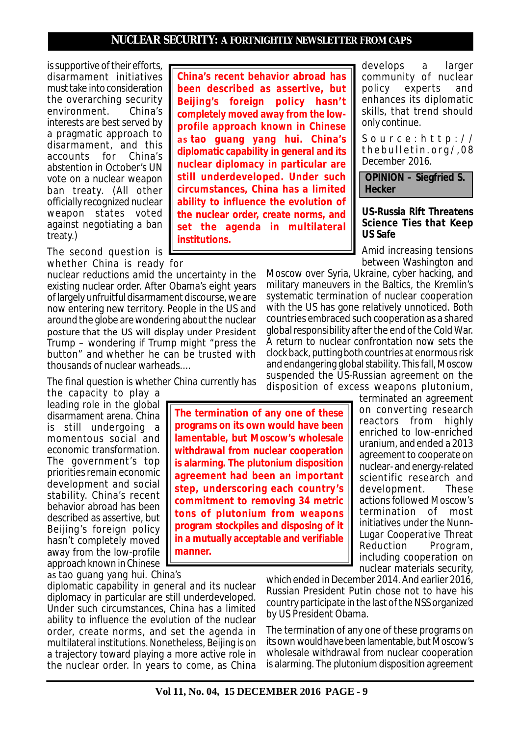is supportive of their efforts, disarmament initiatives must take into consideration the overarching security environment. China's interests are best served by a pragmatic approach to disarmament, and this accounts for China's abstention in October's UN vote on a nuclear weapon ban treaty. (All other officially recognized nuclear weapon states voted against negotiating a ban treaty.)

The second question is whether China is ready for

nuclear reductions amid the uncertainty in the existing nuclear order. After Obama's eight years of largely unfruitful disarmament discourse, we are now entering new territory. People in the US and around the globe are wondering about the nuclear posture that the US will display under President Trump – wondering if Trump might "press the button" and whether he can be trusted with thousands of nuclear warheads....

The final question is whether China currently has the capacity to play a

leading role in the global disarmament arena. China is still undergoing a momentous social and economic transformation. The government's top priorities remain economic development and social stability. China's recent behavior abroad has been described as assertive, but Beijing's foreign policy hasn't completely moved away from the low-profile approach known in Chinese

**The termination of any one of these programs on its own would have been lamentable, but Moscow's wholesale withdrawal from nuclear cooperation is alarming. The plutonium disposition agreement had been an important step, underscoring each country's commitment to removing 34 metric tons of plutonium from weapons program stockpiles and disposing of it in a mutually acceptable and verifiable manner.**

as *tao guang yang hui*. China's diplomatic capability in general and its nuclear diplomacy in particular are still underdeveloped. Under such circumstances, China has a limited ability to influence the evolution of the nuclear order, create norms, and set the agenda in multilateral institutions. Nonetheless, Beijing is on a trajectory toward playing a more active role in the nuclear order. In years to come, as China

**China's recent behavior abroad has been described as assertive, but Beijing's foreign policy hasn't completely moved away from the lowprofile approach known in Chinese as** *tao guang yang hui***. China's diplomatic capability in general and its nuclear diplomacy in particular are still underdeveloped. Under such circumstances, China has a limited ability to influence the evolution of the nuclear order, create norms, and set the agenda in multilateral institutions.**

develops a larger community of nuclear policy experts and enhances its diplomatic skills, that trend should only continue.

*S o u r c e : h t t p : / / t h e b u l l e t i n . o r g / , 0 8 December 2016.*

 **OPINION – Siegfried S. Hecker**

#### **US-Russia Rift Threatens Science Ties that Keep US Safe**

Amid increasing tensions between Washington and

Moscow over Syria, Ukraine, cyber hacking, and military maneuvers in the Baltics, the Kremlin's systematic termination of nuclear cooperation with the US has gone relatively unnoticed. Both countries embraced such cooperation as a shared global responsibility after the end of the Cold War. A return to nuclear confrontation now sets the clock back, putting both countries at enormous risk and endangering global stability. This fall, Moscow suspended the US-Russian agreement on the disposition of excess weapons plutonium,

terminated an agreement on converting research reactors from highly enriched to low-enriched uranium, and ended a 2013 agreement to cooperate on nuclear- and energy-related scientific research and development. These actions followed Moscow's termination of most initiatives under the Nunn-Lugar Cooperative Threat Reduction Program, including cooperation on nuclear materials security,

which ended in December 2014. And earlier 2016, Russian President Putin chose not to have his country participate in the last of the NSS organized by US President Obama.

The termination of any one of these programs on its own would have been lamentable, but Moscow's wholesale withdrawal from nuclear cooperation is alarming. The plutonium disposition agreement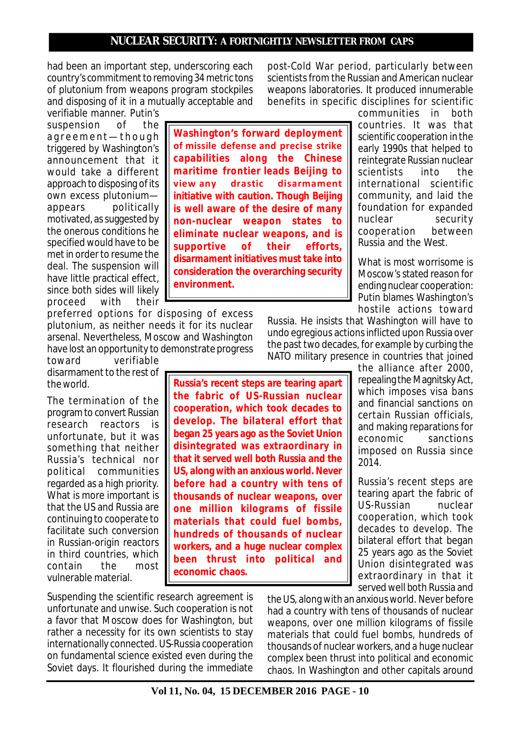had been an important step, underscoring each country's commitment to removing 34 metric tons of plutonium from weapons program stockpiles and disposing of it in a mutually acceptable and

verifiable manner. Putin's suspension of the agreement-though triggered by Washington's announcement that it would take a different approach to disposing of its own excess plutonium appears politically motivated, as suggested by the onerous conditions he specified would have to be met in order to resume the deal. The suspension will have little practical effect, since both sides will likely<br>proceed with their proceed

preferred options for disposing of excess plutonium, as neither needs it for its nuclear arsenal. Nevertheless, Moscow and Washington have lost an opportunity to demonstrate progress

toward verifiable disarmament to the rest of the world.

The termination of the program to convert Russian research reactors is unfortunate, but it was something that neither Russia's technical nor political communities regarded as a high priority. What is more important is that the US and Russia are continuing to cooperate to facilitate such conversion in Russian-origin reactors in third countries, which contain the most vulnerable material.

**Washington's forward deployment of missile defense and precise strike capabilities along the Chinese maritime frontier leads Beijing to view any drastic disarmament initiative with caution. Though Beijing is well aware of the desire of many non-nuclear weapon states to eliminate nuclear weapons, and is supportive of their efforts, disarmament initiatives must take into consideration the overarching security environment.**

post-Cold War period, particularly between scientists from the Russian and American nuclear weapons laboratories. It produced innumerable benefits in specific disciplines for scientific

> communities in both countries. It was that scientific cooperation in the early 1990s that helped to reintegrate Russian nuclear scientists into the international scientific community, and laid the foundation for expanded nuclear security cooperation between Russia and the West.

What is most worrisome is Moscow's stated reason for ending nuclear cooperation: Putin blames Washington's hostile actions toward

the alliance after 2000, repealing the Magnitsky Act, which imposes visa bans and financial sanctions on certain Russian officials, and making reparations for economic sanctions imposed on Russia since

Russia's recent steps are tearing apart the fabric of US-Russian nuclear cooperation, which took decades to develop. The bilateral effort that began 25 years ago as the Soviet Union disintegrated was extraordinary in that it served well both Russia and

Russia. He insists that Washington will have to undo egregious actions inflicted upon Russia over the past two decades, for example by curbing the NATO military presence in countries that joined

2014.

**Russia's recent steps are tearing apart the fabric of US-Russian nuclear cooperation, which took decades to develop. The bilateral effort that began 25 years ago as the Soviet Union disintegrated was extraordinary in that it served well both Russia and the US, along with an anxious world. Never before had a country with tens of thousands of nuclear weapons, over one million kilograms of fissile materials that could fuel bombs, hundreds of thousands of nuclear workers, and a huge nuclear complex been thrust into political and economic chaos.**

Suspending the scientific research agreement is unfortunate and unwise. Such cooperation is not a favor that Moscow does for Washington, but rather a necessity for its own scientists to stay internationally connected. US-Russia cooperation on fundamental science existed even during the Soviet days. It flourished during the immediate the US, along with an anxious world. Never before had a country with tens of thousands of nuclear weapons, over one million kilograms of fissile materials that could fuel bombs, hundreds of thousands of nuclear workers, and a huge nuclear complex been thrust into political and economic chaos. In Washington and other capitals around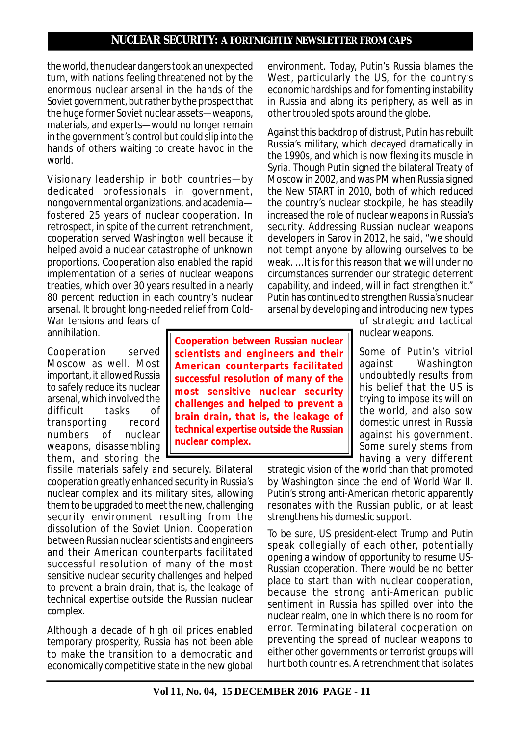the world, the nuclear dangers took an unexpected turn, with nations feeling threatened not by the enormous nuclear arsenal in the hands of the Soviet government, but rather by the prospect that the huge former Soviet nuclear assets—weapons, materials, and experts—would no longer remain in the government's control but could slip into the hands of others waiting to create havoc in the world.

V isionary leadership in both countries—by dedicated professionals in government, nongovernmental organizations, and academia fostered 25 years of nuclear cooperation. In retrospect, in spite of the current retrenchment, cooperation served Washington well because it helped avoid a nuclear catastrophe of unknown proportions. Cooperation also enabled the rapid implementation of a series of nuclear weapons treaties, which over 30 years resulted in a nearly 80 percent reduction in each country's nuclear arsenal. It brought long-needed relief from Cold-

War tensions and fears of annihilation.

Cooperation served Moscow as well. Most important, it allowed Russia to safely reduce its nuclear arsenal, which involved the difficult tasks of transporting record numbers of nuclear weapons, disassembling them, and storing the

fissile materials safely and securely. Bilateral cooperation greatly enhanced security in Russia's nuclear complex and its military sites, allowing them to be upgraded to meet the new, challenging security environment resulting from the dissolution of the Soviet Union. Cooperation between Russian nuclear scientists and engineers and their American counterparts facilitated successful resolution of many of the most sensitive nuclear security challenges and helped to prevent a brain drain, that is, the leakage of technical expertise outside the Russian nuclear complex.

Although a decade of high oil prices enabled temporary prosperity, Russia has not been able to make the transition to a democratic and economically competitive state in the new global

**Cooperation between Russian nuclear scientists and engineers and their American counterparts facilitated successful resolution of many of the most sensitive nuclear security challenges and helped to prevent a brain drain, that is, the leakage of technical expertise outside the Russian nuclear complex.**

environment. Today, Putin's Russia blames the West, particularly the US, for the country's economic hardships and for fomenting instability in Russia and along its periphery, as well as in other troubled spots around the globe.

Against this backdrop of distrust, Putin has rebuilt Russia's military, which decayed dramatically in the 1990s, and which is now flexing its muscle in Syria. Though Putin signed the bilateral Treaty of Moscow in 2002, and was PM when Russia signed the New START in 2010, both of which reduced the country's nuclear stockpile, he has steadily increased the role of nuclear weapons in Russia's security. Addressing Russian nuclear weapons developers in Sarov in 2012, he said, "we should not tempt anyone by allowing ourselves to be weak. … It is for this reason that we will under no circumstances surrender our strategic deterrent capability, and indeed, will in fact strengthen it." Putin has continued to strengthen Russia's nuclear arsenal by developing and introducing new types

of strategic and tactical nuclear weapons.

Some of Putin's vitriol against Washington undoubtedly results from his belief that the US is trying to impose its will on the world, and also sow domestic unrest in Russia against his government. Some surely stems from having a very different

strategic vision of the world than that promoted by Washington since the end of World War II. Putin's strong anti-American rhetoric apparently resonates with the Russian public, or at least strengthens his domestic support.

To be sure, US president-elect Trump and Putin speak collegially of each other, potentially opening a window of opportunity to resume US-Russian cooperation. There would be no better place to start than with nuclear cooperation, because the strong anti-American public sentiment in Russia has spilled over into the nuclear realm, one in which there is no room for error. Terminating bilateral cooperation on preventing the spread of nuclear weapons to either other governments or terrorist groups will hurt both countries. A retrenchment that isolates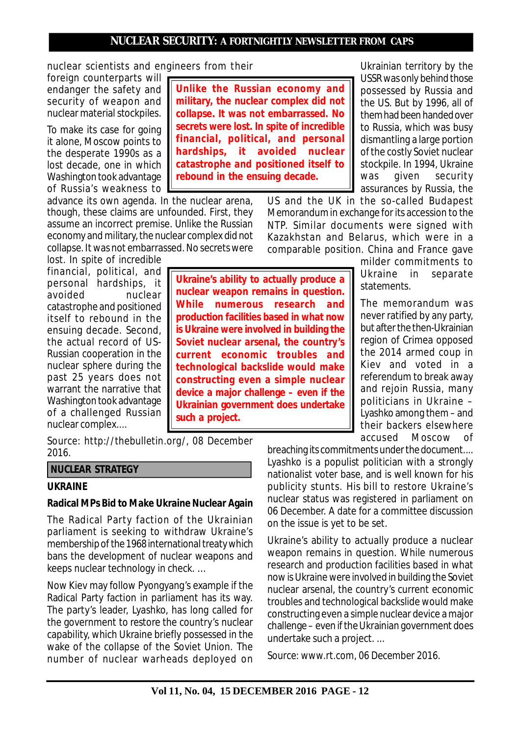nuclear scientists and engineers from their

foreign counterparts will endanger the safety and security of weapon and nuclear material stockpiles.

To make its case for going it alone, Moscow points to the desperate 1990s as a lost decade, one in which Washington took advantage of Russia's weakness to

advance its own agenda. In the nuclear arena, though, these claims are unfounded. First, they assume an incorrect premise. Unlike the Russian economy and military, the nuclear complex did not collapse. It was not embarrassed. No secrets were

lost. In spite of incredible financial, political, and personal hardships, it avoided nuclear catastrophe and positioned itself to rebound in the ensuing decade. Second, the actual record of US-Russian cooperation in the nuclear sphere during the past 25 years does not warrant the narrative that Washington took advantage of a challenged Russian nuclear complex....

*Source: http://thebulletin.org/, 08 December 2016.*

## **NUCLEAR STRATEGY**

#### **UKRAINE**

#### **Radical MPs Bid to Make Ukraine Nuclear Again**

The Radical Party faction of the Ukrainian parliament is seeking to withdraw Ukraine's membership of the 1968 international treaty which bans the development of nuclear weapons and keeps nuclear technology in check. …

Now Kiev may follow Pyongyang's example if the Radical Party faction in parliament has its way. The party's leader, Lyashko, has long called for the government to restore the country's nuclear capability, which Ukraine briefly possessed in the wake of the collapse of the Soviet Union. The number of nuclear warheads deployed on

**Unlike the Russian economy and military, the nuclear complex did not collapse. It was not embarrassed. No secrets were lost. In spite of incredible financial, political, and personal hardships, it avoided nuclear catastrophe and positioned itself to rebound in the ensuing decade.**

Ukrainian territory by the USSR was only behind those possessed by Russia and the US. But by 1996, all of them had been handed over to Russia, which was busy dismantling a large portion of the costly Soviet nuclear stockpile. In 1994, Ukraine was given security assurances by Russia, the

US and the UK in the so-called Budapest Memorandum in exchange for its accession to the NTP. Similar documents were signed with Kazakhstan and Belarus, which were in a comparable position. China and France gave

milder commitments to Ukraine in separate statements.

The memorandum was never ratified by any party, but after the then-Ukrainian region of Crimea opposed the 2014 armed coup in Kiev and voted in a referendum to break away and rejoin Russia, many politicians in Ukraine – Lyashko among them – and their backers elsewhere accused Moscow of

breaching its commitments under the document.... Lyashko is a populist politician with a strongly nationalist voter base, and is well known for his publicity stunts. His bill to restore Ukraine's nuclear status was registered in parliament on 06 December. A date for a committee discussion on the issue is yet to be set.

Ukraine's ability to actually produce a nuclear weapon remains in question. While numerous research and production facilities based in what now is Ukraine were involved in building the Soviet nuclear arsenal, the country's current economic troubles and technological backslide would make constructing even a simple nuclear device a major challenge – even if the Ukrainian government does undertake such a project. ...

*Source: www.rt.com, 06 December 2016.*

**current economic troubles and technological backslide would make constructing even a simple nuclear device a major challenge – even if the Ukrainian government does undertake such a project.**

**Ukraine's ability to actually produce a nuclear weapon remains in question. While numerous research and production facilities based in what now is Ukraine were involved in building the Soviet nuclear arsenal, the country's**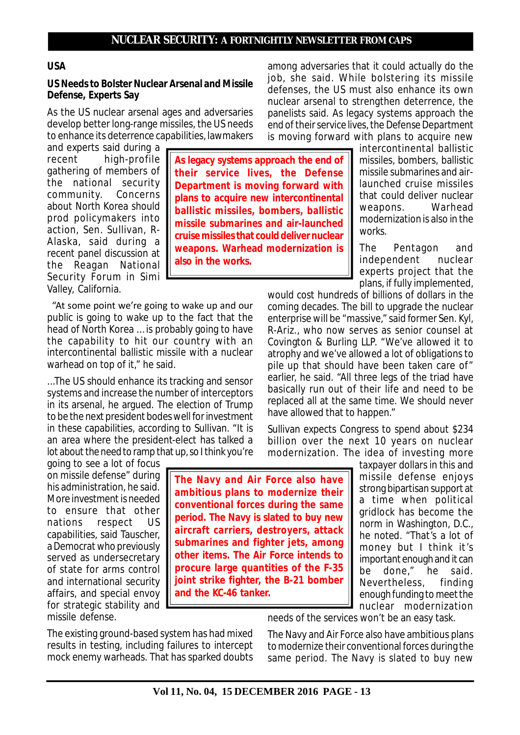### **USA**

### **US Needs to Bolster Nuclear Arsenal and Missile Defense, Experts Say**

As the US nuclear arsenal ages and adversaries develop better long-range missiles, the US needs to enhance its deterrence capabilities, lawmakers

and experts said during a recent high-profile gathering of members of the national security community. Concerns about North Korea should prod policymakers into action, Sen. Sullivan, R-Alaska, said during a recent panel discussion at the Reagan National Security Forum in Simi Valley, California.

 "At some point we're going to wake up and our public is going to wake up to the fact that the head of North Korea … is probably going to have the capability to hit our country with an intercontinental ballistic missile with a nuclear warhead on top of it," he said.

...The US should enhance its tracking and sensor systems and increase the number of interceptors in its arsenal, he argued. The election of Trump to be the next president bodes well for investment in these capabilities, according to Sullivan. "It is an area where the president-elect has talked a lot about the need to ramp that up, so I think you're

going to see a lot of focus on missile defense" during his administration, he said. More investment is needed to ensure that other nations respect US capabilities, said Tauscher, a Democrat who previously served as undersecretary of state for arms control and international security affairs, and special envoy for strategic stability and missile defense.

**As legacy systems approach the end of their service lives, the Defense Department is moving forward with plans to acquire new intercontinental ballistic missiles, bombers, ballistic missile submarines and air-launched cruise missiles that could deliver nuclear weapons. Warhead modernization is also in the works.**

among adversaries that it could actually do the job, she said. While bolstering its missile defenses, the US must also enhance its own nuclear arsenal to strengthen deterrence, the panelists said. As legacy systems approach the end of their service lives, the Defense Department is moving forward with plans to acquire new

> intercontinental ballistic missiles, bombers, ballistic missile submarines and airlaunched cruise missiles that could deliver nuclear<br>weapons Warhead weapons. modernization is also in the works.

> The Pentagon and independent nuclear experts project that the plans, if fully implemented,

would cost hundreds of billions of dollars in the coming decades. The bill to upgrade the nuclear enterprise will be "massive," said former Sen. Kyl, R-Ariz., who now serves as senior counsel at Covington & Burling LLP. "We've allowed it to atrophy and we've allowed a lot of obligations to pile up that should have been taken care of" earlier, he said. "All three legs of the triad have basically run out of their life and need to be replaced all at the same time. We should never have allowed that to happen."

Sullivan expects Congress to spend about \$234 billion over the next 10 years on nuclear modernization. The idea of investing more

**The Navy and Air Force also have ambitious plans to modernize their conventional forces during the same period. The Navy is slated to buy new aircraft carriers, destroyers, attack submarines and fighter jets, among other items. The Air Force intends to procure large quantities of the F-35 joint strike fighter, the B-21 bomber and the KC-46 tanker.**

taxpayer dollars in this and missile defense enjoys strong bipartisan support at a time when political gridlock has become the norm in Washington, D.C., he noted. "That's a lot of money but I think it's important enough and it can be done," he said. Nevertheless, finding enough funding to meet the nuclear modernization

needs of the services won't be an easy task.

The existing ground-based system has had mixed results in testing, including failures to intercept mock enemy warheads. That has sparked doubts

The Navy and Air Force also have ambitious plans to modernize their conventional forces during the same period. The Navy is slated to buy new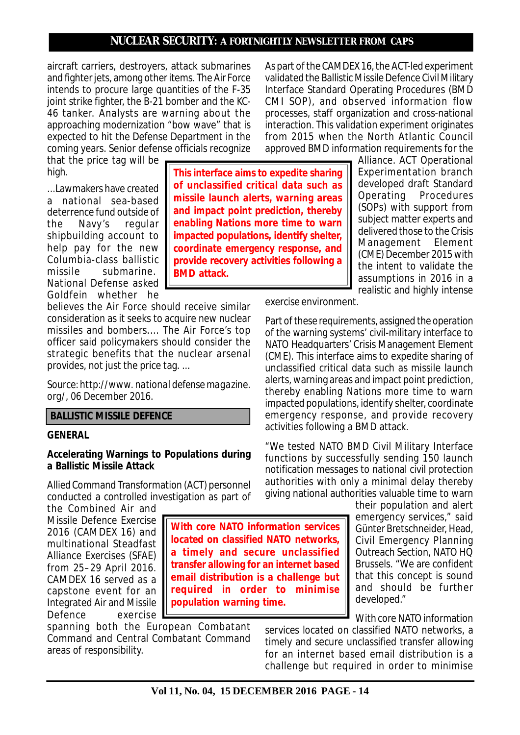**This interface aims to expedite sharing of unclassified critical data such as missile launch alerts, warning areas**

aircraft carriers, destroyers, attack submarines and fighter jets, among other items. The Air Force intends to procure large quantities of the F-35 joint strike fighter, the B-21 bomber and the KC-46 tanker. Analysts are warning about the approaching modernization "bow wave" that is expected to hit the Defense Department in the coming years. Senior defense officials recognize

that the price tag will be high.

...Lawmakers have created a national sea-based deterrence fund outside of<br>the Navy's regular the Navy's shipbuilding account to help pay for the new Columbia-class ballistic missile submarine. National Defense asked Goldfein whether he

believes the Air Force should receive similar consideration as it seeks to acquire new nuclear missiles and bombers.... The Air Force's top officer said policymakers should consider the strategic benefits that the nuclear arsenal provides, not just the price tag. ...

*Source: http://www. national defense magazine. org/, 06 December 2016.*

#### **BALLISTIC MISSILE DEFENCE**

#### **GENERAL**

#### **Accelerating Warnings to Populations during a Ballistic Missile Attack**

Allied Command Transformation (ACT) personnel conducted a controlled investigation as part of

the Combined Air and Missile Defence Exercise 2016 (CAMDEX 16) and multinational Steadfast Alliance Exercises (SFAE) from 25–29 April 2016. CAMDEX 16 served as a capstone event for an Integrated Air and Missile Defence exercise

spanning both the European Combatant Command and Central Combatant Command areas of responsibility.

As part of the CAMDEX 16, the ACT-led experiment validated the Ballistic Missile Defence Civil Military Interface Standard Operating Procedures (BMD CMI SOP), and observed information flow processes, staff organization and cross-national interaction. This validation experiment originates from 2015 when the North Atlantic Council approved BMD information requirements for the

Alliance. ACT Operational Experimentation branch developed draft Standard Operating Procedures (SOPs) with support from subject matter experts and delivered those to the Crisis Management Element (CME) December 2015 with the intent to validate the assumptions in 2016 in a realistic and highly intense

exercise environment.

Part of these requirements, assigned the operation of the warning systems' civil-military interface to NATO Headquarters' Crisis Management Element (CME). This interface aims to expedite sharing of unclassified critical data such as missile launch alerts, warning areas and impact point prediction, thereby enabling Nations more time to warn impacted populations, identify shelter, coordinate emergency response, and provide recovery activities following a BMD attack.

"We tested NATO BMD Civil Military Interface functions by successfully sending 150 launch notification messages to national civil protection authorities with only a minimal delay thereby giving national authorities valuable time to warn

their population and alert emergency services," said Günter Bretschneider, Head, Civil Emergency Planning Outreach Section, NATO HQ Brussels. "We are confident that this concept is sound and should be further developed."

With core NATO information

services located on classified NATO networks, a timely and secure unclassified transfer allowing for an internet based email distribution is a challenge but required in order to minimise

**and impact point prediction, thereby enabling Nations more time to warn impacted populations, identify shelter, coordinate emergency response, and provide recovery activities following a BMD attack.**

**With core NATO information services located on classified NATO networks, a timely and secure unclassified transfer allowing for an internet based email distribution is a challenge but required in order to minimise**

**population warning time.**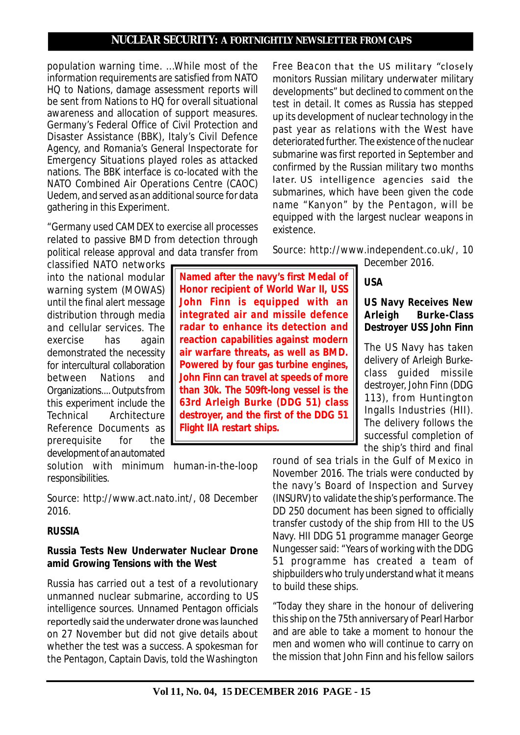population warning time. ...While most of the information requirements are satisfied from NATO HQ to Nations, damage assessment reports will be sent from Nations to HQ for overall situational awareness and allocation of support measures. Germany's Federal Office of Civil Protection and Disaster Assistance (BBK), Italy's Civil Defence Agency, and Romania's General Inspectorate for Emergency Situations played roles as attacked nations. The BBK interface is co-located with the NATO Combined Air Operations Centre (CAOC) Uedem, and served as an additional source for data gathering in this Experiment.

"Germany used CAMDEX to exercise all processes related to passive BMD from detection through political release approval and data transfer from

classified NATO networks into the national modular warning system (MOWAS) until the final alert message distribution through media and cellular services. The exercise has again demonstrated the necessity for intercultural collaboration between Nations and Organizations.... Outputs from this experiment include the Technical Architecture Reference Documents as prerequisite for the development of an automated

solution with minimum human-in-the-loop responsibilities.

*Source: http://www.act.nato.int/, 08 December 2016.*

## **RUSSIA**

### **Russia Tests New Underwater Nuclear Drone amid Growing Tensions with the West**

Russia has carried out a test of a revolutionary unmanned nuclear submarine, according to US intelligence sources. Unnamed Pentagon officials reportedly said the underwater drone was launched on 27 November but did not give details about whether the test was a success. A spokesman for the Pentagon, Captain Davis, told the *Washington* *Free Beacon* that the US military "closely monitors Russian military underwater military developments" but declined to comment on the test in detail. It comes as Russia has stepped up its development of nuclear technology in the past year as relations with the West have deteriorated further. The existence of the nuclear submarine was first reported in September and confirmed by the Russian military two months later. US intelligence agencies said the submarines, which have been given the code name "Kanyon" by the Pentagon, will be equipped with the largest nuclear weapons in existence.

*Source: http://www.independent.co.uk/, 10*

*December 2016.*

## **USA**

# **US Navy Receives New Arleigh Burke-Class Destroyer USS John Finn**

The US Navy has taken delivery of Arleigh Burkeclass guided missile destroyer, John Finn (DDG 113), from Huntington Ingalls Industries (HII). The delivery follows the successful completion of the ship's third and final

round of sea trials in the Gulf of Mexico in November 2016. The trials were conducted by the navy's Board of Inspection and Survey (INSURV) to validate the ship's performance. The DD 250 document has been signed to officially transfer custody of the ship from HII to the US Navy. HII DDG 51 programme manager George Nungesser said: "Years of working with the DDG 51 programme has created a team of shipbuilders who truly understand what it means to build these ships.

"Today they share in the honour of delivering this ship on the 75th anniversary of Pearl Harbor and are able to take a moment to honour the men and women who will continue to carry on the mission that John Finn and his fellow sailors

**John Finn is equipped with an integrated air and missile defence radar to enhance its detection and reaction capabilities against modern air warfare threats, as well as BMD. Powered by four gas turbine engines, John Finn can travel at speeds of more than 30k. The 509ft-long vessel is the 63rd Arleigh Burke (DDG 51) class destroyer, and the first of the DDG 51 Flight IIA restart ships.**

**Named after the navy's first Medal of Honor recipient of World War II, USS**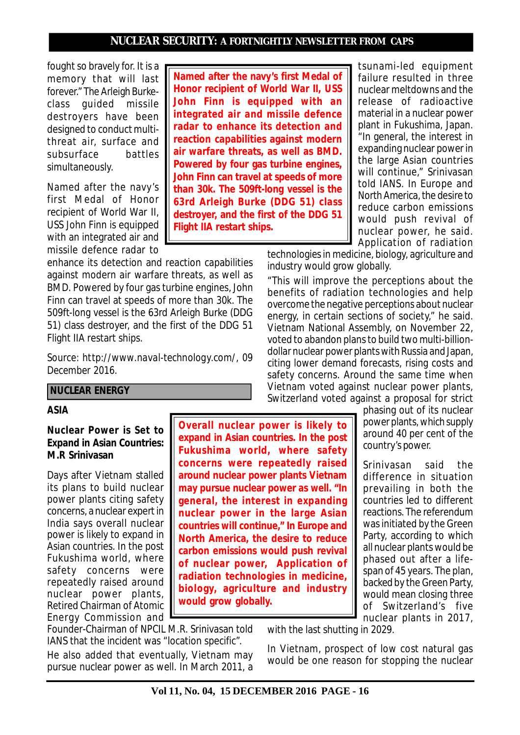**Flight IIA restart ships.**

fought so bravely for. It is a memory that will last forever." The Arleigh Burkeclass guided missile destroyers have been designed to conduct multithreat air, surface and subsurface battles simultaneously.

Named after the navy's first Medal of Honor recipient of World War II, USS John Finn is equipped with an integrated air and missile defence radar to

enhance its detection and reaction capabilities against modern air warfare threats, as well as BMD. Powered by four gas turbine engines, John Finn can travel at speeds of more than 30k. The 509ft-long vessel is the 63rd Arleigh Burke (DDG 51) class destroyer, and the first of the DDG 51 Flight IIA restart ships.

*Source: http://www.naval-technology.com/, 09 December 2016.*

### **NUCLEAR ENERGY**

#### **ASIA**

### **Nuclear Power is Set to Expand in Asian Countries: M.R Srinivasan**

Days after Vietnam stalled its plans to build nuclear power plants citing safety concerns, a nuclear expert in India says overall nuclear power is likely to expand in Asian countries. In the post Fukushima world, where safety concerns were repeatedly raised around nuclear power plants, Retired Chairman of Atomic Energy Commission and **Overall nuclear power is likely to expand in Asian countries. In the post Fukushima world, where safety concerns were repeatedly raised around nuclear power plants Vietnam may pursue nuclear power as well. "In general, the interest in expanding nuclear power in the large Asian countries will continue," In Europe and North America, the desire to reduce carbon emissions would push revival of nuclear power, Application of radiation technologies in medicine, biology, agriculture and industry would grow globally.**

Founder-Chairman of NPCIL M.R. Srinivasan told IANS that the incident was "location specific". He also added that eventually, Vietnam may pursue nuclear power as well. In March 2011, a

tsunami-led equipment failure resulted in three nuclear meltdowns and the release of radioactive material in a nuclear power plant in Fukushima, Japan. "In general, the interest in expanding nuclear power in the large Asian countries will continue," Srinivasan told IANS. In Europe and North America, the desire to reduce carbon emissions would push revival of nuclear power, he said. Application of radiation **Named after the navy's first Medal of Honor recipient of World War II, USS John Finn is equipped with an integrated air and missile defence radar to enhance its detection and reaction capabilities against modern air warfare threats, as well as BMD. Powered by four gas turbine engines, John Finn can travel at speeds of more than 30k. The 509ft-long vessel is the 63rd Arleigh Burke (DDG 51) class destroyer, and the first of the DDG 51**

> technologies in medicine, biology, agriculture and industry would grow globally.

"This will improve the perceptions about the benefits of radiation technologies and help overcome the negative perceptions about nuclear energy, in certain sections of society," he said. Vietnam National Assembly, on November 22, voted to abandon plans to build two multi-billiondollar nuclear power plants with Russia and Japan, citing lower demand forecasts, rising costs and safety concerns. Around the same time when Vietnam voted against nuclear power plants, Switzerland voted against a proposal for strict

> phasing out of its nuclear power plants, which supply around 40 per cent of the country's power.

Srinivasan said the difference in situation prevailing in both the countries led to different reactions. The referendum was initiated by the Green Party, according to which all nuclear plants would be phased out after a lifespan of 45 years. The plan, backed by the Green Party, would mean closing three of Switzerland's five nuclear plants in 2017,

with the last shutting in 2029.

In Vietnam, prospect of low cost natural gas would be one reason for stopping the nuclear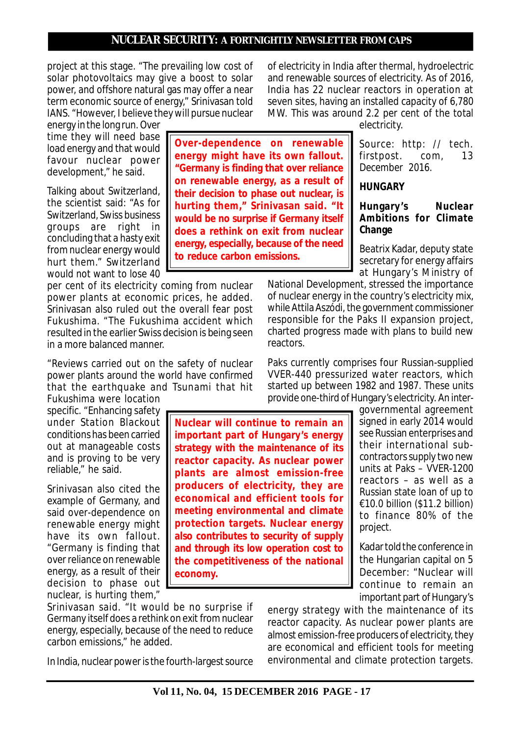**Over-dependence on renewable energy might have its own fallout. "Germany is finding that over reliance on renewable energy, as a result of their decision to phase out nuclear, is hurting them," Srinivasan said. "It would be no surprise if Germany itself does a rethink on exit from nuclear energy, especially, because of the need**

**to reduce carbon emissions.**

project at this stage. "The prevailing low cost of solar photovoltaics may give a boost to solar power, and offshore natural gas may offer a near term economic source of energy," Srinivasan told IANS. "However, I believe they will pursue nuclear

energy in the long run. Over time they will need base load energy and that would favour nuclear power development," he said.

Talking about Switzerland, the scientist said: "As for Switzerland, Swiss business groups are right in concluding that a hasty exit from nuclear energy would hurt them." Switzerland would not want to lose 40

per cent of its electricity coming from nuclear power plants at economic prices, he added. Srinivasan also ruled out the overall fear post Fukushima. "The Fukushima accident which resulted in the earlier Swiss decision is being seen in a more balanced manner.

"Reviews carried out on the safety of nuclear power plants around the world have confirmed that the earthquake and Tsunami that hit

Fukushima were location specific. "Enhancing safety under Station Blackout conditions has been carried out at manageable costs and is proving to be very reliable," he said.

Srinivasan also cited the example of Germany, and said over-dependence on renewable energy might have its own fallout. "Germany is finding that over reliance on renewable energy, as a result of their decision to phase out nuclear, is hurting them,"

Srinivasan said. "It would be no surprise if Germany itself does a rethink on exit from nuclear energy, especially, because of the need to reduce carbon emissions," he added.

In India, nuclear power is the fourth-largest source

of electricity in India after thermal, hydroelectric and renewable sources of electricity. As of 2016, India has 22 nuclear reactors in operation at seven sites, having an installed capacity of 6,780 MW. This was around 2.2 per cent of the total

electricity.

*Source: http: // tech. firstpost. com, 13 December 2016.*

**HUNGARY**

#### **Hungary's Nuclear Ambitions for Climate Change**

Beatrix Kadar, deputy state secretary for energy affairs at Hungary's Ministry of

National Development, stressed the importance of nuclear energy in the country's electricity mix, while Attila Aszódi, the government commissioner responsible for the Paks II expansion project, charted progress made with plans to build new reactors.

Paks currently comprises four Russian-supplied VVER-440 pressurized water reactors, which started up between 1982 and 1987. These units provide one-third of Hungary's electricity. An inter-

**Nuclear will continue to remain an important part of Hungary's energy strategy with the maintenance of its reactor capacity. As nuclear power plants are almost emission-free producers of electricity, they are economical and efficient tools for meeting environmental and climate protection targets. Nuclear energy also contributes to security of supply and through its low operation cost to the competitiveness of the national economy.**

governmental agreement signed in early 2014 would see Russian enterprises and their international subcontractors supply two new units at Paks – VVER-1200 reactors – as well as a Russian state loan of up to  $£10.0$  billion (\$11.2 billion) to finance 80% of the project.

Kadar told the conference in the Hungarian capital on 5 December: "Nuclear will continue to remain an important part of Hungary's

energy strategy with the maintenance of its reactor capacity. As nuclear power plants are almost emission-free producers of electricity, they are economical and efficient tools for meeting environmental and climate protection targets.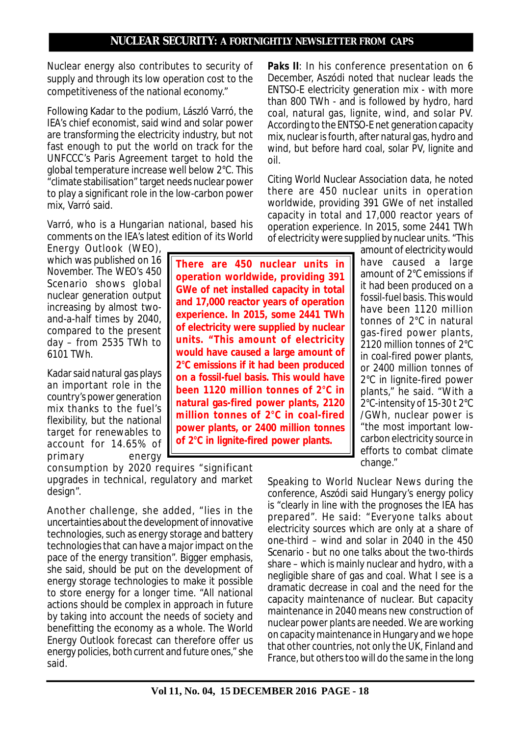Nuclear energy also contributes to security of supply and through its low operation cost to the competitiveness of the national economy."

Following Kadar to the podium, László Varró, the IEA's chief economist, said wind and solar power are transforming the electricity industry, but not fast enough to put the world on track for the UNFCCC's Paris Agreement target to hold the global temperature increase well below 2°C. This "climate stabilisation" target needs nuclear power to play a significant role in the low-carbon power mix, Varró said.

Varró, who is a Hungarian national, based his comments on the IEA's latest edition of its World

Energy Outlook (WEO), which was published on 16 November. The WEO's 450 Scenario shows global nuclear generation output increasing by almost twoand-a-half times by 2040, compared to the present day – from 2535 TWh to 6101 TWh.

Kadar said natural gas plays an important role in the country's power generation mix thanks to the fuel's flexibility, but the national target for renewables to account for 14.65% of primary energy

consumption by 2020 requires "significant upgrades in technical, regulatory and market design".

Another challenge, she added, "lies in the uncertainties about the development of innovative technologies, such as energy storage and battery technologies that can have a major impact on the pace of the energy transition". Bigger emphasis, she said, should be put on the development of energy storage technologies to make it possible to store energy for a longer time. "All national actions should be complex in approach in future by taking into account the needs of society and benefitting the economy as a whole. The World Energy Outlook forecast can therefore offer us energy policies, both current and future ones," she said.

**There are 450 nuclear units in operation worldwide, providing 391 GWe of net installed capacity in total and 17,000 reactor years of operation experience. In 2015, some 2441 TWh of electricity were supplied by nuclear units. "This amount of electricity would have caused a large amount of 2°C emissions if it had been produced on a fossil-fuel basis. This would have been 1120 million tonnes of 2°C in natural gas-fired power plants, 2120 million tonnes of 2°C in coal-fired power plants, or 2400 million tonnes of 2°C in lignite-fired power plants.**

**Paks II:** In his conference presentation on 6 December, Aszódi noted that nuclear leads the ENTSO-E electricity generation mix - with more than 800 TWh - and is followed by hydro, hard coal, natural gas, lignite, wind, and solar PV. According to the ENTSO-E net generation capacity mix, nuclear is fourth, after natural gas, hydro and wind, but before hard coal, solar PV, lignite and oil.

Citing World Nuclear Association data, he noted there are 450 nuclear units in operation worldwide, providing 391 GWe of net installed capacity in total and 17,000 reactor years of operation experience. In 2015, some 2441 TWh of electricity were supplied by nuclear units. "This

> amount of electricity would have caused a large amount of 2°C emissions if it had been produced on a fossil-fuel basis. This would have been 1120 million tonnes of 2°C in natural gas-fired power plants, 2120 million tonnes of 2°C in coal-fired power plants, or 2400 million tonnes of 2°C in lignite-fired power plants," he said. "With a 2°C-intensity of 15-30 t 2°C /GWh, nuclear power is "the most important lowcarbon electricity source in efforts to combat climate change."

Speaking to World Nuclear News during the conference, Aszódi said Hungary's energy policy is "clearly in line with the prognoses the IEA has prepared". He said: "Everyone talks about electricity sources which are only at a share of one-third – wind and solar in 2040 in the 450 Scenario - but no one talks about the two-thirds share – which is mainly nuclear and hydro, with a negligible share of gas and coal. What I see is a dramatic decrease in coal and the need for the capacity maintenance of nuclear. But capacity maintenance in 2040 means new construction of nuclear power plants are needed. We are working on capacity maintenance in Hungary and we hope that other countries, not only the UK, Finland and France, but others too will do the same in the long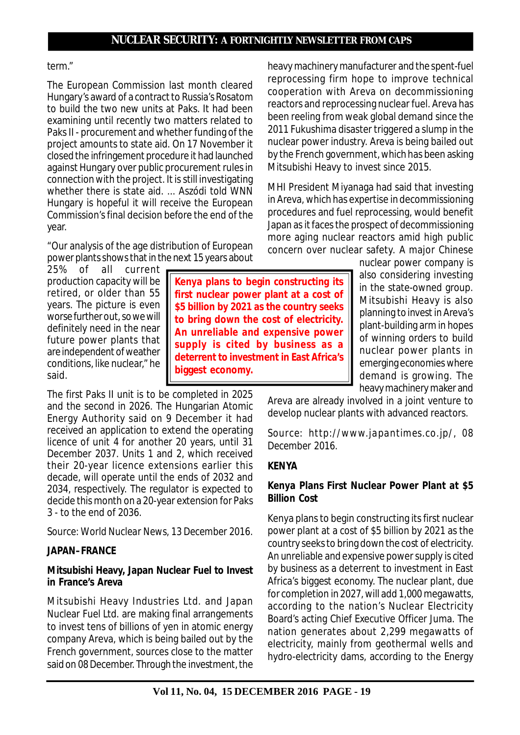**Kenya plans to begin constructing its first nuclear power plant at a cost of \$5 billion by 2021 as the country seeks to bring down the cost of electricity. An unreliable and expensive power supply is cited by business as a deterrent to investment in East Africa's**

**biggest economy.**

## term."

The European Commission last month cleared Hungary's award of a contract to Russia's Rosatom to build the two new units at Paks. It had been examining until recently two matters related to Paks II - procurement and whether funding of the project amounts to state aid. On 17 November it closed the infringement procedure it had launched against Hungary over public procurement rules in connection with the project. It is still investigating whether there is state aid. ... Aszódi told WNN Hungary is hopeful it will receive the European Commission's final decision before the end of the year.

"Our analysis of the age distribution of European power plants shows that in the next 15 years about

25% of all current production capacity will be retired, or older than 55 years. The picture is even worse further out, so we will definitely need in the near future power plants that are independent of weather conditions, like nuclear," he said.

The first Paks II unit is to be completed in 2025 and the second in 2026. The Hungarian Atomic Energy Authority said on 9 December it had received an application to extend the operating licence of unit 4 for another 20 years, until 31 December 2037. Units 1 and 2, which received their 20-year licence extensions earlier this decade, will operate until the ends of 2032 and 2034, respectively. The regulator is expected to decide this month on a 20-year extension for Paks 3 - to the end of 2036.

*Source: World Nuclear News, 13 December 2016.*

# **JAPAN–FRANCE**

## **Mitsubishi Heavy, Japan Nuclear Fuel to Invest in France's Areva**

Mitsubishi Heavy Industries Ltd. and Japan Nuclear Fuel Ltd. are making final arrangements to invest tens of billions of yen in atomic energy company Areva, which is being bailed out by the French government, sources close to the matter said on 08 December. Through the investment, the heavy machinery manufacturer and the spent-fuel reprocessing firm hope to improve technical cooperation with Areva on decommissioning reactors and reprocessing nuclear fuel. Areva has been reeling from weak global demand since the 2011 Fukushima disaster triggered a slump in the nuclear power industry. Areva is being bailed out by the French government, which has been asking Mitsubishi Heavy to invest since 2015.

MHI President Miyanaga had said that investing in Areva, which has expertise in decommissioning procedures and fuel reprocessing, would benefit Japan as it faces the prospect of decommissioning more aging nuclear reactors amid high public concern over nuclear safety. A major Chinese

> nuclear power company is also considering investing in the state-owned group. Mitsubishi Heavy is also planning to invest in Areva's plant-building arm in hopes of winning orders to build nuclear power plants in emerging economies where demand is growing. The heavy machinery maker and

Areva are already involved in a joint venture to develop nuclear plants with advanced reactors.

*Source: http://www.japantimes.co.jp/, 08 December 2016.*

## **KENYA**

# **Kenya Plans First Nuclear Power Plant at \$5 Billion Cost**

Kenya plans to begin constructing its first nuclear power plant at a cost of \$5 billion by 2021 as the country seeks to bring down the cost of electricity. An unreliable and expensive power supply is cited by business as a deterrent to investment in East Africa's biggest economy. The nuclear plant, due for completion in 2027, will add 1,000 megawatts, according to the nation's Nuclear Electricity Board's acting Chief Executive Officer Juma. The nation generates about 2,299 megawatts of electricity, mainly from geothermal wells and hydro-electricity dams, according to the Energy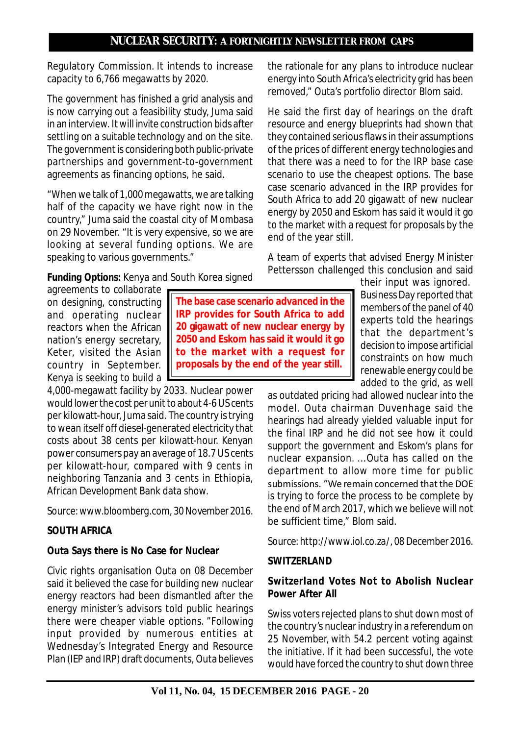Regulatory Commission. It intends to increase capacity to 6,766 megawatts by 2020.

The government has finished a grid analysis and is now carrying out a feasibility study, Juma said in an interview. It will invite construction bids after settling on a suitable technology and on the site. The government is considering both public-private partnerships and government-to-government agreements as financing options, he said.

"When we talk of 1,000 megawatts, we are talking half of the capacity we have right now in the country," Juma said the coastal city of Mombasa on 29 November. "It is very expensive, so we are looking at several funding options. We are speaking to various governments."

*Funding Options:* Kenya and South Korea signed

agreements to collaborate on designing, constructing and operating nuclear reactors when the African nation's energy secretary, Keter, visited the Asian country in September. Kenya is seeking to build a

4,000-megawatt facility by 2033. Nuclear power would lower the cost per unit to about 4-6 US cents per kilowatt-hour, Juma said. The country is trying to wean itself off diesel-generated electricity that costs about 38 cents per kilowatt-hour. Kenyan power consumers pay an average of 18.7 US cents per kilowatt-hour, compared with 9 cents in neighboring Tanzania and 3 cents in Ethiopia, African Development Bank data show.

*Source:www.bloomberg.com, 30 November 2016.*

# **SOUTH AFRICA**

## **Outa Says there is No Case for Nuclear**

Civic rights organisation Outa on 08 December said it believed the case for building new nuclear energy reactors had been dismantled after the energy minister's advisors told public hearings there were cheaper viable options. "Following input provided by numerous entities at Wednesday's Integrated Energy and Resource Plan (IEP and IRP) draft documents, Outa believes

**The base case scenario advanced in the IRP provides for South Africa to add 20 gigawatt of new nuclear energy by 2050 and Eskom has said it would it go to the market with a request for proposals by the end of the year still.** 

the rationale for any plans to introduce nuclear energy into South Africa's electricity grid has been removed," Outa's portfolio director Blom said.

He said the first day of hearings on the draft resource and energy blueprints had shown that they contained serious flaws in their assumptions of the prices of different energy technologies and that there was a need to for the IRP base case scenario to use the cheapest options. The base case scenario advanced in the IRP provides for South Africa to add 20 gigawatt of new nuclear energy by 2050 and Eskom has said it would it go to the market with a request for proposals by the end of the year still.

A team of experts that advised Energy Minister Pettersson challenged this conclusion and said

their input was ignored. Business Day reported that members of the panel of 40 experts told the hearings that the department's decision to impose artificial constraints on how much renewable energy could be added to the grid, as well

as outdated pricing had allowed nuclear into the model. Outa chairman Duvenhage said the hearings had already yielded valuable input for the final IRP and he did not see how it could support the government and Eskom's plans for nuclear expansion. ...Outa has called on the department to allow more time for public submissions. "We remain concerned that the DOE is trying to force the process to be complete by the end of March 2017, which we believe will not be sufficient time," Blom said.

*Source: http://www.iol.co.za/, 08 December 2016.*

#### **SWITZERLAND**

## **Switzerland Votes Not to Abolish Nuclear Power After All**

Swiss voters rejected plans to shut down most of the country's nuclear industry in a referendum on 25 November, with 54.2 percent voting against the initiative. If it had been successful, the vote would have forced the country to shut down three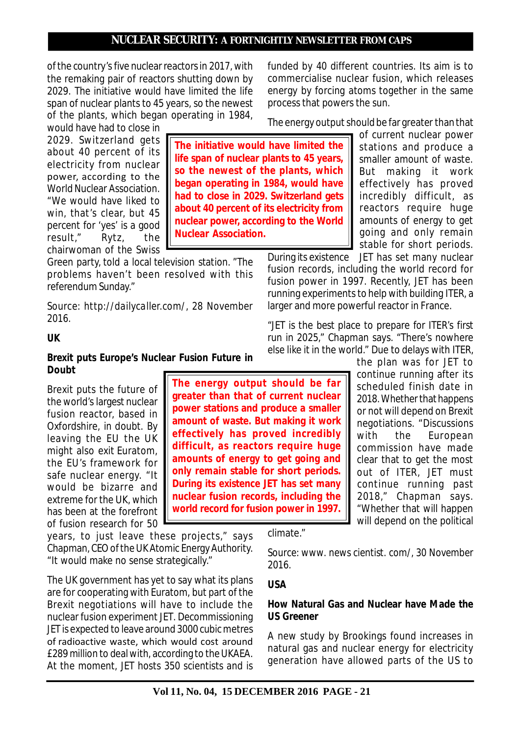**The initiative would have limited the life span of nuclear plants to 45 years, so the newest of the plants, which began operating in 1984, would have had to close in 2029. Switzerland gets about 40 percent of its electricity from nuclear power, according to the World**

**Nuclear Association.**

of the country's five nuclear reactors in 2017, with the remaking pair of reactors shutting down by 2029. The initiative would have limited the life span of nuclear plants to 45 years, so the newest of the plants, which began operating in 1984,

would have had to close in 2029. Switzerland gets about 40 percent of its electricity from nuclear power, according to the World Nuclear Association. "We would have liked to win, that's clear, but 45 percent for 'yes' is a good result," Rytz, the chairwoman of the Swiss

Green party, told a local television station. "The problems haven't been resolved with this referendum Sunday."

*Source: http://dailycaller.com/, 28 November 2016.*

**UK**

### **Brexit puts Europe's Nuclear Fusion Future in Doubt**

Brexit puts the future of the world's largest nuclear fusion reactor, based in Oxfordshire, in doubt. By leaving the EU the UK might also exit Euratom, the EU's framework for safe nuclear energy. "It would be bizarre and extreme for the UK, which has been at the forefront of fusion research for 50

years, to just leave these projects," says Chapman, CEO of the UK Atomic Energy Authority. "It would make no sense strategically."

The UK government has yet to say what its plans are for cooperating with Euratom, but part of the Brexit negotiations will have to include the nuclear fusion experiment JET. Decommissioning JET is expected to leave around 3000 cubic metres of radioactive waste, which would cost around £289 million to deal with, according to the UKAEA. At the moment, JET hosts 350 scientists and is

**The energy output should be far greater than that of current nuclear power stations and produce a smaller amount of waste. But making it work effectively has proved incredibly difficult, as reactors require huge amounts of energy to get going and only remain stable for short periods. During its existence JET has set many nuclear fusion records, including the world record for fusion power in 1997.**

climate."

*Source: www. news cientist. com/, 30 November 2016.*

#### **USA**

### **How Natural Gas and Nuclear have Made the US Greener**

A new study by Brookings found increases in natural gas and nuclear energy for electricity generation have allowed parts of the US to

funded by 40 different countries. Its aim is to commercialise nuclear fusion, which releases energy by forcing atoms together in the same process that powers the sun.

The energy output should be far greater than that

of current nuclear power stations and produce a smaller amount of waste. But making it work effectively has proved incredibly difficult, as reactors require huge amounts of energy to get going and only remain stable for short periods.

During its existence JET has set many nuclear fusion records, including the world record for fusion power in 1997. Recently, JET has been running experiments to help with building ITER, a larger and more powerful reactor in France.

"JET is the best place to prepare for ITER's first run in 2025," Chapman says. "There's nowhere else like it in the world." Due to delays with ITER,

> the plan was for JET to continue running after its scheduled finish date in 2018. Whether that happens or not will depend on Brexit negotiations. "Discussions with the European commission have made clear that to get the most out of ITER, JET must continue running past 2018," Chapman says. "Whether that will happen will depend on the political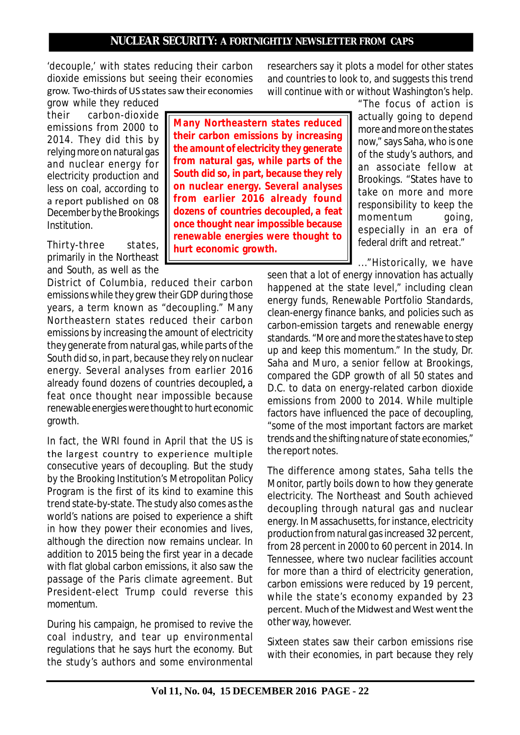'decouple,' with states reducing their carbon dioxide emissions but seeing their economies grow. Two-thirds of US states saw their economies

grow while they reduced their carbon-dioxide emissions from 2000 to 2014. They did this by relying more on natural gas and nuclear energy for electricity production and less on coal, according to a report published on 08 December by the Brookings Institution.

Thirty-three states, primarily in the Northeast and South, as well as the

District of Columbia, reduced their carbon emissions while they grew their GDP during those years, a term known as "decoupling." Many Northeastern states reduced their carbon emissions by increasing the amount of electricity they generate from natural gas, while parts of the South did so, in part, because they rely on nuclear energy. Several analyses from earlier 2016 already found dozens of countries decoupled**,** a feat once thought near impossible because renewable energies were thought to hurt economic growth.

In fact, the WRI found in April that the US is the largest country to experience multiple consecutive years of decoupling. But the study by the Brooking Institution's Metropolitan Policy Program is the first of its kind to examine this trend state-by-state. The study also comes as the world's nations are poised to experience a shift in how they power their economies and lives, although the direction now remains unclear. In addition to 2015 being the first year in a decade with flat global carbon emissions, it also saw the passage of the Paris climate agreement. But President-elect Trump could reverse this momentum.

During his campaign, he promised to revive the coal industry, and tear up environmental regulations that he says hurt the economy. But the study's authors and some environmental

**Many Northeastern states reduced their carbon emissions by increasing the amount of electricity they generate from natural gas, while parts of the South did so, in part, because they rely on nuclear energy. Several analyses from earlier 2016 already found dozens of countries decoupled, a feat once thought near impossible because renewable energies were thought to hurt economic growth.**

researchers say it plots a model for other states and countries to look to, and suggests this trend will continue with or without Washington's help.

> "The focus of action is actually going to depend more and more on the states now," says Saha, who is one of the study's authors, and an associate fellow at Brookings. "States have to take on more and more responsibility to keep the momentum going, especially in an era of federal drift and retreat."

..."Historically, we have

seen that a lot of energy innovation has actually happened at the state level," including clean energy funds, Renewable Portfolio Standards, clean-energy finance banks, and policies such as carbon-emission targets and renewable energy standards. "More and more the states have to step up and keep this momentum." In the study, Dr. Saha and Muro, a senior fellow at Brookings, compared the GDP growth of all 50 states and D.C. to data on energy-related carbon dioxide emissions from 2000 to 2014. While multiple factors have influenced the pace of decoupling, "some of the most important factors are market trends and the shifting nature of state economies," the report notes.

The difference among states, Saha tells the Monitor, partly boils down to how they generate electricity. The Northeast and South achieved decoupling through natural gas and nuclear energy. In Massachusetts, for instance, electricity production from natural gas increased 32 percent, from 28 percent in 2000 to 60 percent in 2014. In Tennessee, where two nuclear facilities account for more than a third of electricity generation, carbon emissions were reduced by 19 percent, while the state's economy expanded by 23 percent. Much of the Midwest and West went the other way, however.

Sixteen states saw their carbon emissions rise with their economies, in part because they rely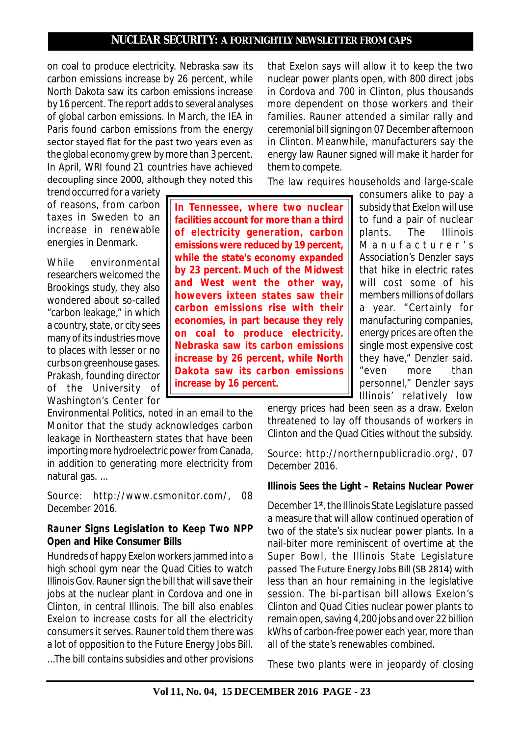on coal to produce electricity. Nebraska saw its carbon emissions increase by 26 percent, while North Dakota saw its carbon emissions increase by 16 percent. The report adds to several analyses of global carbon emissions. In March, the IEA in Paris found carbon emissions from the energy sector stayed flat for the past two years even as the global economy grew by more than 3 percent. In April, WRI found 21 countries have achieved decoupling since 2000, although they noted this that Exelon says will allow it to keep the two nuclear power plants open, with 800 direct jobs in Cordova and 700 in Clinton, plus thousands more dependent on those workers and their families. Rauner attended a similar rally and ceremonial bill signing on 07 December afternoon in Clinton. Meanwhile, manufacturers say the energy law Rauner signed will make it harder for them to compete.

The law requires households and large-scale

trend occurred for a variety of reasons, from carbon taxes in Sweden to an increase in renewable energies in Denmark.

While environmental researchers welcomed the Brookings study, they also wondered about so-called "carbon leakage," in which a country, state, or city sees many of its industries move to places with lesser or no curbs on greenhouse gases. Prakash, founding director of the University of Washington's Center for

Environmental Politics, noted in an email to the Monitor that the study acknowledges carbon leakage in Northeastern states that have been importing more hydroelectric power from Canada, in addition to generating more electricity from natural gas. ...

*Source: http://www.csmonitor.com/, 08 December 2016.*

## **Rauner Signs Legislation to Keep Two NPP Open and Hike Consumer Bills**

Hundreds of happy Exelon workers jammed into a high school gym near the Quad Cities to watch Illinois Gov. Rauner sign the bill that will save their jobs at the nuclear plant in Cordova and one in Clinton, in central Illinois. The bill also enables Exelon to increase costs for all the electricity consumers it serves. Rauner told them there was a lot of opposition to the Future Energy Jobs Bill. ...The bill contains subsidies and other provisions

**In Tennessee, where two nuclear facilities account for more than a third of electricity generation, carbon emissions were reduced by 19 percent, while the state's economy expanded by 23 percent. Much of the Midwest and West went the other way, howevers ixteen states saw their carbon emissions rise with their economies, in part because they rely on coal to produce electricity. Nebraska saw its carbon emissions increase by 26 percent, while North Dakota saw its carbon emissions increase by 16 percent.**

consumers alike to pay a subsidy that Exelon will use to fund a pair of nuclear plants. The Illinois Manufacturer's Association's Denzler says that hike in electric rates will cost some of his members millions of dollars a year. "Certainly for manufacturing companies, energy prices are often the single most expensive cost they have," Denzler said. "even more than personnel," Denzler says Illinois' relatively low

energy prices had been seen as a draw. Exelon threatened to lay off thousands of workers in Clinton and the Quad Cities without the subsidy.

*Source: http://northernpublicradio.org/, 07 December 2016.*

## **Illinois Sees the Light – Retains Nuclear Power**

December 1<sup>st</sup>, the Illinois State Legislature passed a measure that will allow continued operation of two of the state's six nuclear power plants. In a nail-biter more reminiscent of overtime at the Super Bowl, the Illinois State Legislature passed The Future Energy Jobs Bill (SB 2814) with less than an hour remaining in the legislative session. The bi-partisan bill allows Exelon's Clinton and Quad Cities nuclear power plants to remain open, saving 4,200 jobs and over 22 billion kWhs of carbon-free power each year, more than all of the state's renewables combined.

These two plants were in jeopardy of closing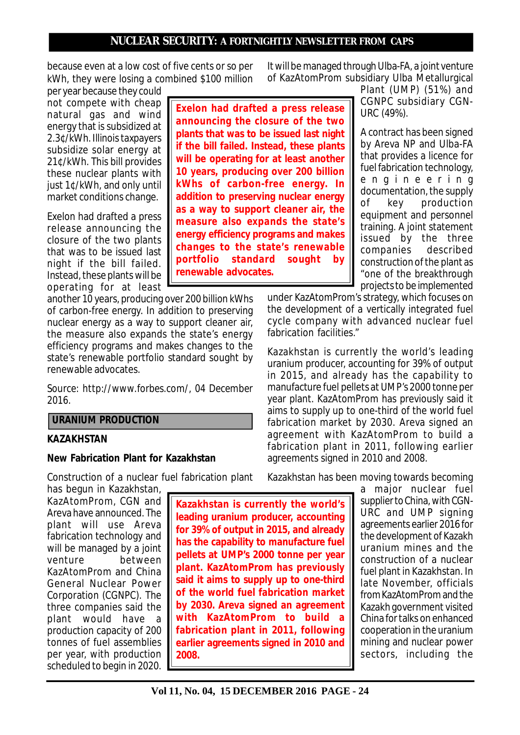**Exelon had drafted a press release announcing the closure of the two plants that was to be issued last night if the bill failed. Instead, these plants will be operating for at least another 10 years, producing over 200 billion kWhs of carbon-free energy. In addition to preserving nuclear energy as a way to support cleaner air, the measure also expands the state's energy efficiency programs and makes changes to the state's renewable portfolio standard sought by**

**renewable advocates.**

because even at a low cost of five cents or so per kWh, they were losing a combined \$100 million

per year because they could not compete with cheap natural gas and wind energy that is subsidized at 2.3¢/kWh. Illinois taxpayers subsidize solar energy at 21¢/kWh. This bill provides these nuclear plants with just 1¢/kWh, and only until market conditions change.

Exelon had drafted a press release announcing the closure of the two plants that was to be issued last night if the bill failed. Instead, these plants will be operating for at least

another 10 years, producing over 200 billion kWhs of carbon-free energy. In addition to preserving nuclear energy as a way to support cleaner air, the measure also expands the state's energy efficiency programs and makes changes to the state's renewable portfolio standard sought by renewable advocates.

*Source: http://www.forbes.com/, 04 December 2016.*

### **URANIUM PRODUCTION**

#### **KAZAKHSTAN**

#### **New Fabrication Plant for Kazakhstan**

Construction of a nuclear fuel fabrication plant

has begun in Kazakhstan, KazAtomProm, CGN and Areva have announced. The plant will use Areva fabrication technology and will be managed by a joint<br>venture between between KazAtomProm and China General Nuclear Power Corporation (CGNPC). The three companies said the plant would have a production capacity of 200 tonnes of fuel assemblies per year, with production scheduled to begin in 2020.

**Kazakhstan is currently the world's leading uranium producer, accounting for 39% of output in 2015, and already has the capability to manufacture fuel pellets at UMP's 2000 tonne per year plant. KazAtomProm has previously said it aims to supply up to one-third of the world fuel fabrication market by 2030. Areva signed an agreement with KazAtomProm to build a fabrication plant in 2011, following earlier agreements signed in 2010 and 2008.**

It will be managed through Ulba-FA, a joint venture of KazAtomProm subsidiary Ulba Metallurgical

> Plant (UMP) (51%) and CGNPC subsidiary CGN-URC (49%).

> A contract has been signed by Areva NP and Ulba-FA that provides a licence for fuel fabrication technology, e n g i n e e r i n g documentation, the supply of key production equipment and personnel training. A joint statement issued by the three companies described construction of the plant as "one of the breakthrough projects to be implemented

under KazAtomProm's strategy, which focuses on the development of a vertically integrated fuel cycle company with advanced nuclear fuel fabrication facilities."

Kazakhstan is currently the world's leading uranium producer, accounting for 39% of output in 2015, and already has the capability to manufacture fuel pellets at UMP's 2000 tonne per year plant. KazAtomProm has previously said it aims to supply up to one-third of the world fuel fabrication market by 2030. Areva signed an agreement with KazAtomProm to build a fabrication plant in 2011, following earlier agreements signed in 2010 and 2008.

Kazakhstan has been moving towards becoming

a major nuclear fuel supplier to China, with CGN-URC and UMP signing agreements earlier 2016 for the development of Kazakh uranium mines and the construction of a nuclear fuel plant in Kazakhstan. In late November, officials from KazAtomProm and the Kazakh government visited China for talks on enhanced cooperation in the uranium mining and nuclear power sectors, including the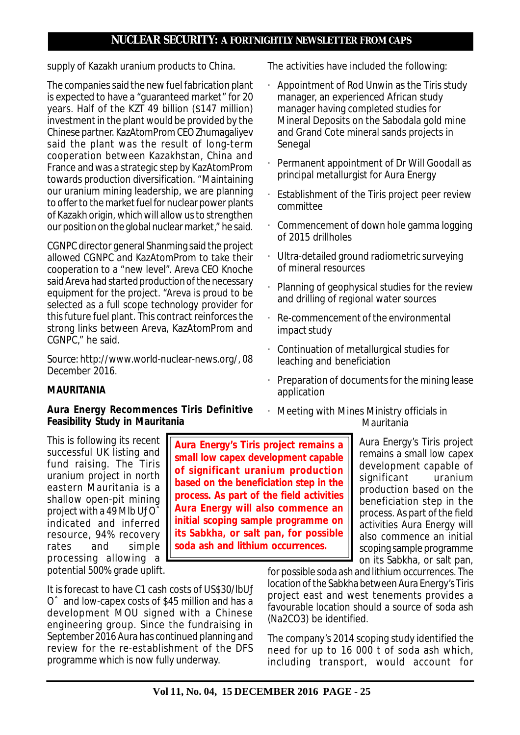supply of Kazakh uranium products to China.

The companies said the new fuel fabrication plant is expected to have a "guaranteed market" for 20 years. Half of the KZT 49 billion (\$147 million) investment in the plant would be provided by the Chinese partner. KazAtomProm CEO Zhumagaliyev said the plant was the result of long-term cooperation between Kazakhstan, China and France and was a strategic step by KazAtomProm towards production diversification. "Maintaining our uranium mining leadership, we are planning to offer to the market fuel for nuclear power plants of Kazakh origin, which will allow us to strengthen our position on the global nuclear market," he said.

CGNPC director general Shanming said the project allowed CGNPC and KazAtomProm to take their cooperation to a "new level". Areva CEO Knoche said Areva had started production of the necessary equipment for the project. "Areva is proud to be selected as a full scope technology provider for this future fuel plant. This contract reinforces the strong links between Areva, KazAtomProm and CGNPC," he said.

*Source: http://www.world-nuclear-news.org/, 08 December 2016.*

# **MAURITANIA**

## **Aura Energy Recommences Tiris Definitive Feasibility Study in Mauritania**

The activities have included the following:

- · Appointment of Rod Unwin as the Tiris study manager, an experienced African study manager having completed studies for Mineral Deposits on the Sabodala gold mine and Grand Cote mineral sands projects in Senegal
- · Permanent appointment of Dr Will Goodall as principal metallurgist for Aura Energy
- Establishment of the Tiris project peer review committee
- · Commencement of down hole gamma logging of 2015 drillholes
- · Ultra-detailed ground radiometric surveying of mineral resources
- Planning of geophysical studies for the review and drilling of regional water sources
- · Re-commencement of the environmental impact study
- · Continuation of metallurgical studies for leaching and beneficiation
- Preparation of documents for the mining lease application
- · Meeting with Mines Ministry officials in Mauritania

This is following its recent successful UK listing and fund raising. The Tiris uranium project in north eastern Mauritania is a shallow open-pit mining project with a 49 Mlb Uƒ Oˆ indicated and inferred resource, 94% recovery rates and simple processing allowing a potential 500% grade uplift.

**Aura Energy's Tiris project remains a small low capex development capable of significant uranium production based on the beneficiation step in the process. As part of the field activities Aura Energy will also commence an initial scoping sample programme on its Sabkha, or salt pan, for possible soda ash and lithium occurrences.**

Aura Energy's Tiris project remains a small low capex development capable of significant uranium production based on the beneficiation step in the process. As part of the field activities Aura Energy will also commence an initial scoping sample programme on its Sabkha, or salt pan,

It is forecast to have C1 cash costs of US\$30/lbUƒ Oˆ and low-capex costs of \$45 million and has a development MOU signed with a Chinese engineering group. Since the fundraising in September 2016 Aura has continued planning and review for the re-establishment of the DFS programme which is now fully underway.

for possible soda ash and lithium occurrences. The location of the Sabkha between Aura Energy's Tiris project east and west tenements provides a favourable location should a source of soda ash (Na2CO3) be identified.

The company's 2014 scoping study identified the need for up to 16 000 t of soda ash which, including transport, would account for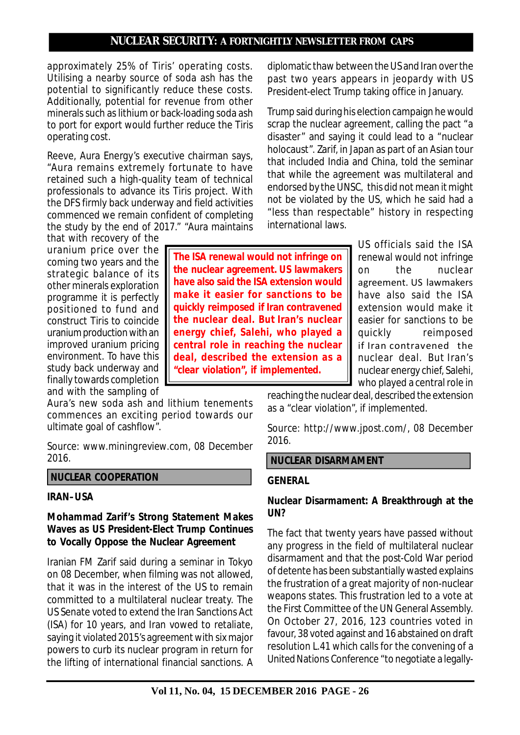**The ISA renewal would not infringe on the nuclear agreement. US lawmakers have also said the ISA extension would make it easier for sanctions to be quickly reimposed if Iran contravened the nuclear deal. But Iran's nuclear energy chief, Salehi, who played a central role in reaching the nuclear deal, described the extension as a "clear violation", if implemented.**

approximately 25% of Tiris' operating costs. Utilising a nearby source of soda ash has the potential to significantly reduce these costs. Additionally, potential for revenue from other minerals such as lithium or back-loading soda ash to port for export would further reduce the Tiris operating cost.

Reeve, Aura Energy's executive chairman says, "Aura remains extremely fortunate to have retained such a high-quality team of technical professionals to advance its Tiris project. With the DFS firmly back underway and field activities commenced we remain confident of completing the study by the end of 2017." "Aura maintains

that with recovery of the uranium price over the coming two years and the strategic balance of its other minerals exploration programme it is perfectly positioned to fund and construct Tiris to coincide uranium production with an improved uranium pricing environment. To have this study back underway and finally towards completion and with the sampling of

Aura's new soda ash and lithium tenements commences an exciting period towards our ultimate goal of cashflow".

*Source: www.miningreview.com, 08 December 2016.*

#### **NUCLEAR COOPERATION**

#### **IRAN–USA**

### **Mohammad Zarif's Strong Statement Makes Waves as US President-Elect Trump Continues to Vocally Oppose the Nuclear Agreement**

Iranian FM Zarif said during a seminar in Tokyo on 08 December, when filming was not allowed, that it was in the interest of the US to remain committed to a multilateral nuclear treaty. The US Senate voted to extend the Iran Sanctions Act (ISA) for 10 years, and Iran vowed to retaliate, saying it violated 2015's agreement with six major powers to curb its nuclear program in return for the lifting of international financial sanctions. A diplomatic thaw between the US and Iran over the past two years appears in jeopardy with US President-elect Trump taking office in January.

Trump said during his election campaign he would scrap the nuclear agreement, calling the pact "a disaster" and saying it could lead to a "nuclear holocaust". Zarif, in Japan as part of an Asian tour that included India and China, told the seminar that while the agreement was multilateral and endorsed by the UNSC, this did not mean it might not be violated by the US, which he said had a "less than respectable" history in respecting international laws.

> US officials said the ISA renewal would not infringe on the nuclear agreement. US lawmakers have also said the ISA extension would make it easier for sanctions to be quickly reimposed if Iran contravened the nuclear deal. But Iran's nuclear energy chief, Salehi, who played a central role in

reaching the nuclear deal, described the extension as a "clear violation", if implemented.

*Source: http://www.jpost.com/, 08 December 2016.*

#### **NUCLEAR DISARMAMENT**

#### **GENERAL**

### **Nuclear Disarmament: A Breakthrough at the UN?**

The fact that twenty years have passed without any progress in the field of multilateral nuclear disarmament and that the post-Cold War period of detente has been substantially wasted explains the frustration of a great majority of non-nuclear weapons states. This frustration led to a vote at the First Committee of the UN General Assembly. On October 27, 2016, 123 countries voted in favour, 38 voted against and 16 abstained on draft resolution L.41 which calls for the convening of a United Nations Conference "to negotiate a legally-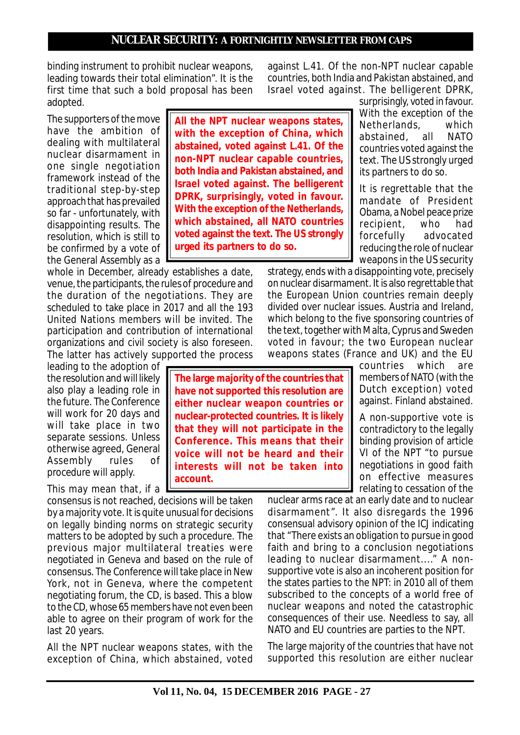binding instrument to prohibit nuclear weapons, leading towards their total elimination". It is the first time that such a bold proposal has been adopted.

The supporters of the move have the ambition of dealing with multilateral nuclear disarmament in one single negotiation framework instead of the traditional step-by-step approach that has prevailed so far - unfortunately, with disappointing results. The resolution, which is still to be confirmed by a vote of the General Assembly as a

whole in December, already establishes a date, venue, the participants, the rules of procedure and the duration of the negotiations. They are scheduled to take place in 2017 and all the 193 United Nations members will be invited. The participation and contribution of international organizations and civil society is also foreseen. The latter has actively supported the process

leading to the adoption of the resolution and will likely also play a leading role in the future. The Conference will work for 20 days and will take place in two separate sessions. Unless otherwise agreed, General Assembly rules of procedure will apply.

This may mean that, if a

consensus is not reached, decisions will be taken by a majority vote. It is quite unusual for decisions on legally binding norms on strategic security matters to be adopted by such a procedure. The previous major multilateral treaties were negotiated in Geneva and based on the rule of consensus. The Conference will take place in New York, not in Geneva, where the competent negotiating forum, the CD, is based. This a blow to the CD, whose 65 members have not even been able to agree on their program of work for the last 20 years.

All the NPT nuclear weapons states, with the exception of China, which abstained, voted

**All the NPT nuclear weapons states, with the exception of China, which abstained, voted against L.41. Of the non-NPT nuclear capable countries, both India and Pakistan abstained, and Israel voted against. The belligerent DPRK, surprisingly, voted in favour. With the exception of the Netherlands, which abstained, all NATO countries voted against the text. The US strongly urged its partners to do so.**

against L.41. Of the non-NPT nuclear capable countries, both India and Pakistan abstained, and Israel voted against. The belligerent DPRK,

surprisingly, voted in favour. With the exception of the Netherlands, which abstained, all NATO countries voted against the text. The US strongly urged its partners to do so.

It is regrettable that the mandate of President Obama, a Nobel peace prize recipient, forcefully advocated reducing the role of nuclear weapons in the US security

strategy, ends with a disappointing vote, precisely on nuclear disarmament. It is also regrettable that the European Union countries remain deeply divided over nuclear issues. Austria and Ireland, which belong to the five sponsoring countries of the text, together with Malta, Cyprus and Sweden voted in favour; the two European nuclear weapons states (France and UK) and the EU

countries which are members of NATO (with the Dutch exception) voted against. Finland abstained.

A non-supportive vote is contradictory to the legally binding provision of article VI of the NPT "to pursue negotiations in good faith on effective measures relating to cessation of the

nuclear arms race at an early date and to nuclear disarmament". It also disregards the 1996 consensual advisory opinion of the ICJ indicating that "There exists an obligation to pursue in good faith and bring to a conclusion negotiations leading to nuclear disarmament...." A nonsupportive vote is also an incoherent position for the states parties to the NPT: in 2010 all of them subscribed to the concepts of a world free of nuclear weapons and noted the catastrophic consequences of their use. Needless to say, all NATO and EU countries are parties to the NPT.

The large majority of the countries that have not supported this resolution are either nuclear

**The large majority of the countries that have not supported this resolution are either nuclear weapon countries or nuclear-protected countries. It is likely that they will not participate in the Conference. This means that their voice will not be heard and their interests will not be taken into account.**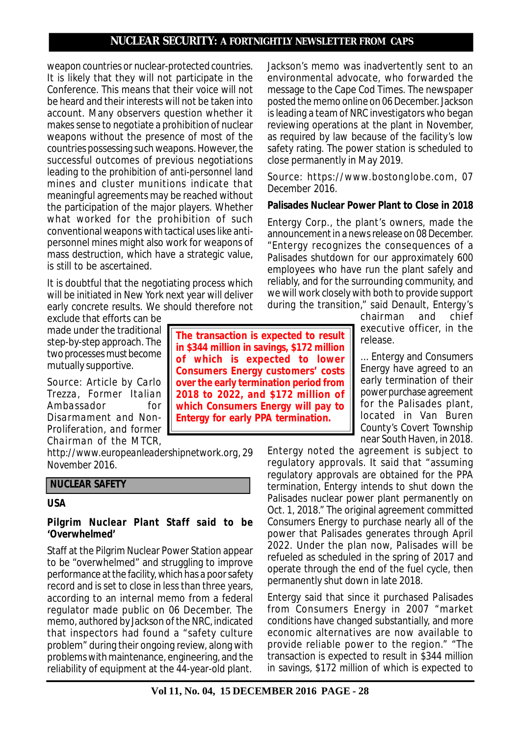weapon countries or nuclear-protected countries. It is likely that they will not participate in the Conference. This means that their voice will not be heard and their interests will not be taken into account. Many observers question whether it makes sense to negotiate a prohibition of nuclear weapons without the presence of most of the countries possessing such weapons. However, the successful outcomes of previous negotiations leading to the prohibition of anti-personnel land mines and cluster munitions indicate that meaningful agreements may be reached without the participation of the major players. Whether what worked for the prohibition of such conventional weapons with tactical uses like antipersonnel mines might also work for weapons of mass destruction, which have a strategic value, is still to be ascertained.

It is doubtful that the negotiating process which will be initiated in New York next year will deliver early concrete results. We should therefore not

exclude that efforts can be made under the traditional step-by-step approach. The two processes must become mutually supportive.

*Source: Article by Carlo Trezza, Former Italian Ambassador for Disarmament and Non-Proliferation, and former Chairman of the MTCR,*

*http://www.europeanleadershipnetwork.org, 29 November 2016.*

### **NUCLEAR SAFETY**

#### **USA**

#### **Pilgrim Nuclear Plant Staff said to be 'Overwhelmed'**

Staff at the Pilgrim Nuclear Power Station appear to be "overwhelmed" and struggling to improve performance at the facility, which has a poor safety record and is set to close in less than three years, according to an internal memo from a federal regulator made public on 06 December. The memo, authored by Jackson of the NRC, indicated that inspectors had found a "safety culture problem" during their ongoing review, along with problems with maintenance, engineering, and the reliability of equipment at the 44-year-old plant.

**The transaction is expected to result in \$344 million in savings, \$172 million of which is expected to lower Consumers Energy customers' costs over the early termination period from 2018 to 2022, and \$172 million of which Consumers Energy will pay to Entergy for early PPA termination.**

Jackson's memo was inadvertently sent to an environmental advocate, who forwarded the message to the Cape Cod Times. The newspaper posted the memo online on 06 December. Jackson is leading a team of NRC investigators who began reviewing operations at the plant in November, as required by law because of the facility's low safety rating. The power station is scheduled to close permanently in May 2019.

#### *Source: https://www.bostonglobe.com, 07 December 2016.*

### **Palisades Nuclear Power Plant to Close in 2018**

Entergy Corp., the plant's owners, made the announcement in a news release on 08 December. "Entergy recognizes the consequences of a Palisades shutdown for our approximately 600 employees who have run the plant safely and reliably, and for the surrounding community, and we will work closely with both to provide support during the transition," said Denault, Entergy's

> chairman and chief executive officer, in the release.

... Entergy and Consumers Energy have agreed to an early termination of their power purchase agreement for the Palisades plant, located in Van Buren County's Covert Township near South Haven, in 2018.

Entergy noted the agreement is subject to regulatory approvals. It said that "assuming regulatory approvals are obtained for the PPA termination, Entergy intends to shut down the Palisades nuclear power plant permanently on Oct. 1, 2018." The original agreement committed Consumers Energy to purchase nearly all of the power that Palisades generates through April 2022. Under the plan now, Palisades will be refueled as scheduled in the spring of 2017 and operate through the end of the fuel cycle, then permanently shut down in late 2018.

Entergy said that since it purchased Palisades from Consumers Energy in 2007 "market conditions have changed substantially, and more economic alternatives are now available to provide reliable power to the region." "The transaction is expected to result in \$344 million in savings, \$172 million of which is expected to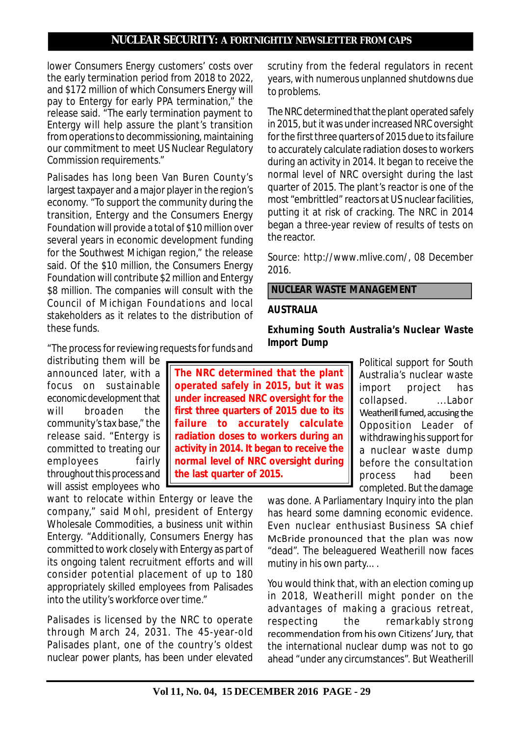lower Consumers Energy customers' costs over the early termination period from 2018 to 2022, and \$172 million of which Consumers Energy will pay to Entergy for early PPA termination," the release said. "The early termination payment to Entergy will help assure the plant's transition from operations to decommissioning, maintaining our commitment to meet US Nuclear Regulatory Commission requirements."

Palisades has long been Van Buren County's largest taxpayer and a major player in the region's economy. "To support the community during the transition, Entergy and the Consumers Energy Foundation will provide a total of \$10 million over several years in economic development funding for the Southwest Michigan region," the release said. Of the \$10 million, the Consumers Energy Foundation will contribute \$2 million and Entergy \$8 million. The companies will consult with the Council of Michigan Foundations and local stakeholders as it relates to the distribution of these funds.

"The process for reviewing requests for funds and

distributing them will be announced later, with a focus on sustainable economic development that will broaden the community's tax base," the release said. "Entergy is committed to treating our employees fairly throughout this process and will assist employees who

want to relocate within Entergy or leave the company," said Mohl, president of Entergy Wholesale Commodities, a business unit within Entergy. "Additionally, Consumers Energy has committed to work closely with Entergy as part of its ongoing talent recruitment efforts and will consider potential placement of up to 180 appropriately skilled employees from Palisades into the utility's workforce over time."

Palisades is licensed by the NRC to operate through March 24, 2031. The 45-year-old Palisades plant, one of the country's oldest nuclear power plants, has been under elevated scrutiny from the federal regulators in recent years, with numerous unplanned shutdowns due to problems.

The NRC determined that the plant operated safely in 2015, but it was under increased NRC oversight for the first three quarters of 2015 due to its failure to accurately calculate radiation doses to workers during an activity in 2014. It began to receive the normal level of NRC oversight during the last quarter of 2015. The plant's reactor is one of the most "embrittled" reactors at US nuclear facilities, putting it at risk of cracking. The NRC in 2014 began a three-year review of results of tests on the reactor.

*Source: http://www.mlive.com/, 08 December 2016.*

 **NUCLEAR WASTE MANAGEMENT**

### **AUSTRALIA**

**Exhuming South Australia's Nuclear Waste Import Dump**

**The NRC determined that the plant operated safely in 2015, but it was under increased NRC oversight for the first three quarters of 2015 due to its failure to accurately calculate radiation doses to workers during an activity in 2014. It began to receive the normal level of NRC oversight during the last quarter of 2015.**

Political support for South Australia's nuclear waste import project has collapsed. ...Labor Weatherill fumed, accusing the Opposition Leader of withdrawing his support for a nuclear waste dump before the consultation process had been completed. But the damage

was done. A Parliamentary Inquiry into the plan has heard some damning economic evidence. Even nuclear enthusiast Business SA chief McBride pronounced that the plan was now "dead". The beleaguered Weatherill now faces mutiny in his own party... .

You would think that, with an election coming up in 2018, Weatherill might ponder on the advantages of making a gracious retreat, respecting the remarkably strong recommendation from his own Citizens' Jury, that the international nuclear dump was not to go ahead "under any circumstances". But Weatherill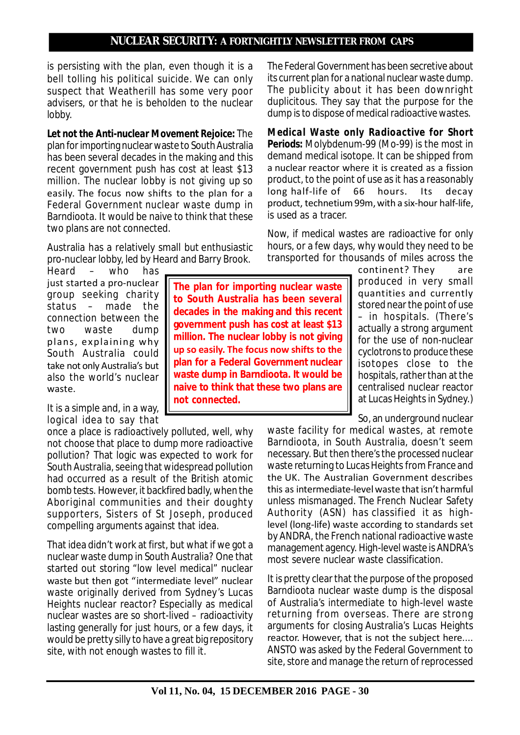is persisting with the plan, even though it is a bell tolling his political suicide. We can only suspect that Weatherill has some very poor advisers, or that he is beholden to the nuclear lobby.

*Let not the Anti-nuclear Movement Rejoice***:** The plan for importing nuclear waste to South Australia has been several decades in the making and this recent government push has cost at least \$13 million. The nuclear lobby is not giving up so easily. The focus now shifts to the plan for a Federal Government nuclear waste dump in Barndioota. It would be naive to think that these two plans are not connected.

Australia has a relatively small but enthusiastic pro-nuclear lobby, led by Heard and Barry Brook.

Heard – who has just started a pro-nuclear group seeking charity status – made the connection between the two waste dump plans, explaining why South Australia could take not only Australia's but also the world's nuclear waste.

It is a simple and, in a way, logical idea to say that

once a place is radioactively polluted, well, why not choose that place to dump more radioactive pollution? That logic was expected to work for South Australia, seeing that widespread pollution had occurred as a result of the British atomic bomb tests. However, it backfired badly, when the Aboriginal communities and their doughty supporters, Sisters of St Joseph, produced compelling arguments against that idea.

**not connected.**

That idea didn't work at first, but what if we got a nuclear waste dump in South Australia? One that started out storing "low level medical" nuclear waste but then got "intermediate level" nuclear waste originally derived from Sydney's Lucas Heights nuclear reactor? Especially as medical nuclear wastes are so short-lived – radioactivity lasting generally for just hours, or a few days, it would be pretty silly to have a great big repository site, with not enough wastes to fill it.

**The plan for importing nuclear waste to South Australia has been several decades in the making and this recent government push has cost at least \$13 million. The nuclear lobby is not giving up so easily. The focus now shifts to the plan for a Federal Government nuclear waste dump in Barndioota. It would be naive to think that these two plans are**

The Federal Government has been secretive about its current plan for a national nuclear waste dump. The publicity about it has been downright duplicitous. They say that the purpose for the dump is to dispose of medical radioactive wastes.

*Medical Waste only Radioactive for Short Periods***:** Molybdenum-99 (Mo-99) is the most in demand medical isotope. It can be shipped from a nuclear reactor where it is created as a fission product, to the point of use as it has a reasonably long half-life of 66 hours. Its decay product, technetium 99m, with a six-hour half-life, is used as a tracer.

Now, if medical wastes are radioactive for only hours, or a few days, why would they need to be transported for thousands of miles across the

> continent? They are produced in very small quantities and currently stored near the point of use – in hospitals. (There's actually a strong argument for the use of non-nuclear cyclotrons to produce these isotopes close to the hospitals, rather than at the centralised nuclear reactor at Lucas Heights in Sydney.)

So, an underground nuclear

waste facility for medical wastes, at remote Barndioota, in South Australia, doesn't seem necessary. But then there's the processed nuclear waste returning to Lucas Heights from France and the UK. The Australian Government describes this as intermediate-level waste that isn't harmful unless mismanaged. The French Nuclear Safety Authority (ASN) has classified it as highlevel (long-life) waste according to standards set by ANDRA, the French national radioactive waste management agency. High-level waste is ANDRA's most severe nuclear waste classification.

It is pretty clear that the purpose of the proposed Barndioota nuclear waste dump is the disposal of Australia's intermediate to high-level waste returning from overseas. There are strong arguments for closing Australia's Lucas Heights reactor. However, that is not the subject here.... ANSTO was asked by the Federal Government to site, store and manage the return of reprocessed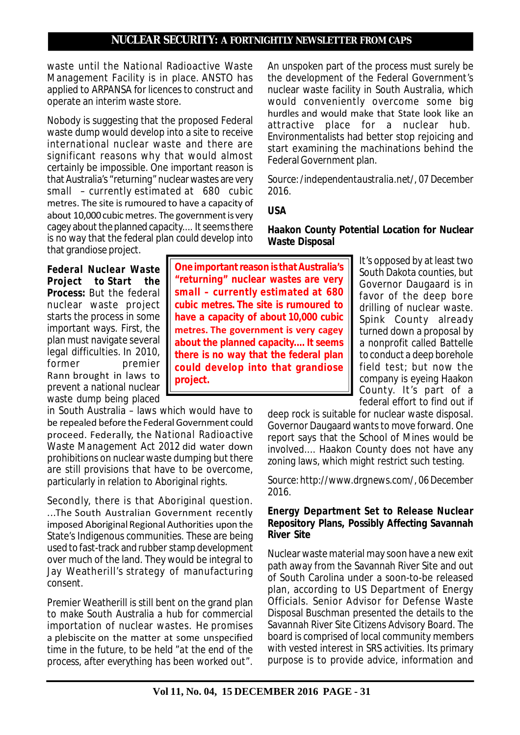waste until the National Radioactive Waste Management Facility is in place. ANSTO has applied to ARPANSA for licences to construct and operate an interim waste store.

Nobody is suggesting that the proposed Federal waste dump would develop into a site to receive international nuclear waste and there are significant reasons why that would almost certainly be impossible. One important reason is that Australia's "returning" nuclear wastes are very small – currently estimated at 680 cubic metres. The site is rumoured to have a capacity of about 10,000 cubic metres. The government is very cagey about the planned capacity.... It seems there is no way that the federal plan could develop into that grandiose project.

*Federal Nuclear Waste Project to Start the Process:* But the federal nuclear waste project starts the process in some important ways. First, the plan must navigate several legal difficulties. In 2010, former premier Rann brought in laws to prevent a national nuclear waste dump being placed

in South Australia – laws which would have to be repealed before the Federal Government could proceed. Federally, the *National Radioactive Waste Management Act 2012* did water down prohibitions on nuclear waste dumping but there are still provisions that have to be overcome, particularly in relation to Aboriginal rights.

Secondly, there is that Aboriginal question. ...The South Australian Government recently imposed Aboriginal Regional Authorities upon the State's Indigenous communities. These are being used to fast-track and rubber stamp development over much of the land. They would be integral to Jay Weatherill's strategy of manufacturing consent.

Premier Weatherill is still bent on the grand plan to make South Australia a hub for commercial importation of nuclear wastes. He promises a plebiscite on the matter at some unspecified time in the future, to be held "*at the end of the process, after everything has been worked out"*.

**One important reason is that Australia's "returning" nuclear wastes are very small – currently estimated at 680 cubic metres. The site is rumoured to have a capacity of about 10,000 cubic metres. The government is very cagey about the planned capacity.... It seems there is no way that the federal plan could develop into that grandiose project.**

An unspoken part of the process must surely be the development of the Federal Government's nuclear waste facility in South Australia, which would conveniently overcome some big hurdles and would make that State look like an attractive place for a nuclear hub. Environmentalists had better stop rejoicing and start examining the machinations behind the Federal Government plan.

*Source: /independentaustralia.net/, 07 December 2016.*

# **USA**

**Haakon County Potential Location for Nuclear Waste Disposal**

> It's opposed by at least two South Dakota counties, but Governor Daugaard is in favor of the deep bore drilling of nuclear waste. Spink County already turned down a proposal by a nonprofit called Battelle to conduct a deep borehole field test; but now the company is eyeing Haakon County. It's part of a federal effort to find out if

deep rock is suitable for nuclear waste disposal. Governor Daugaard wants to move forward. One report says that the School of Mines would be involved.... Haakon County does not have any zoning laws, which might restrict such testing.

*Source: http://www.drgnews.com/, 06 December 2016.*

### **Energy Department Set to Release Nuclear Repository Plans, Possibly Affecting Savannah River Site**

Nuclear waste material may soon have a new exit path away from the Savannah River Site and out of South Carolina under a soon-to-be released plan, according to US Department of Energy Officials. Senior Advisor for Defense Waste Disposal Buschman presented the details to the Savannah River Site Citizens Advisory Board. The board is comprised of local community members with vested interest in SRS activities. Its primary purpose is to provide advice, information and